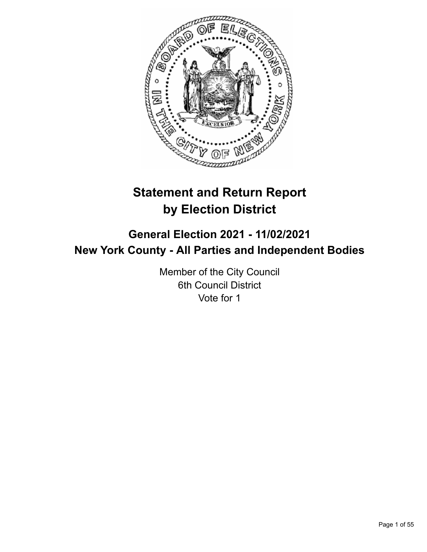

# **Statement and Return Report by Election District**

# **General Election 2021 - 11/02/2021 New York County - All Parties and Independent Bodies**

Member of the City Council 6th Council District Vote for 1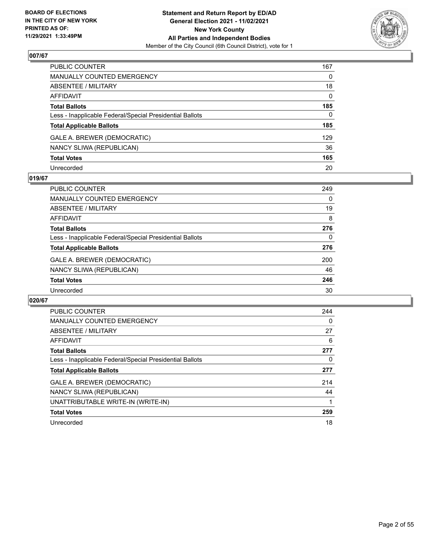

| PUBLIC COUNTER                                           | 167          |
|----------------------------------------------------------|--------------|
| <b>MANUALLY COUNTED EMERGENCY</b>                        | $\Omega$     |
| ABSENTEE / MILITARY                                      | 18           |
| <b>AFFIDAVIT</b>                                         | $\mathbf{0}$ |
| <b>Total Ballots</b>                                     | 185          |
| Less - Inapplicable Federal/Special Presidential Ballots | $\mathbf{0}$ |
| <b>Total Applicable Ballots</b>                          | 185          |
| GALE A. BREWER (DEMOCRATIC)                              | 129          |
| NANCY SLIWA (REPUBLICAN)                                 | 36           |
| <b>Total Votes</b>                                       | 165          |
| Unrecorded                                               | 20           |

#### **019/67**

| <b>PUBLIC COUNTER</b>                                    | 249 |
|----------------------------------------------------------|-----|
| <b>MANUALLY COUNTED EMERGENCY</b>                        | 0   |
| ABSENTEE / MILITARY                                      | 19  |
| AFFIDAVIT                                                | 8   |
| <b>Total Ballots</b>                                     | 276 |
| Less - Inapplicable Federal/Special Presidential Ballots | 0   |
| <b>Total Applicable Ballots</b>                          | 276 |
| GALE A. BREWER (DEMOCRATIC)                              | 200 |
| NANCY SLIWA (REPUBLICAN)                                 | 46  |
| <b>Total Votes</b>                                       | 246 |
| Unrecorded                                               | 30  |

| <b>PUBLIC COUNTER</b>                                    | 244 |
|----------------------------------------------------------|-----|
| <b>MANUALLY COUNTED EMERGENCY</b>                        | 0   |
| ABSENTEE / MILITARY                                      | 27  |
| AFFIDAVIT                                                | 6   |
| <b>Total Ballots</b>                                     | 277 |
| Less - Inapplicable Federal/Special Presidential Ballots | 0   |
| <b>Total Applicable Ballots</b>                          | 277 |
| GALE A. BREWER (DEMOCRATIC)                              | 214 |
| NANCY SLIWA (REPUBLICAN)                                 | 44  |
| UNATTRIBUTABLE WRITE-IN (WRITE-IN)                       |     |
| <b>Total Votes</b>                                       | 259 |
| Unrecorded                                               | 18  |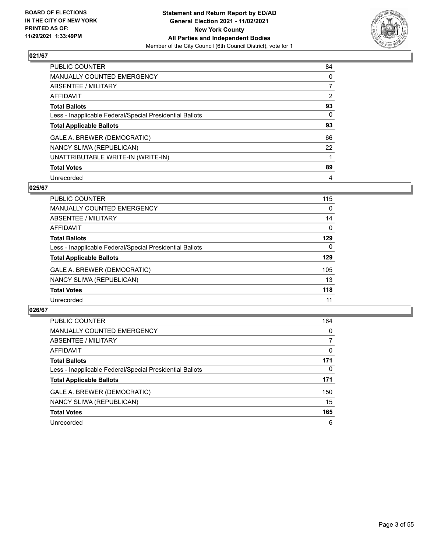

| <b>PUBLIC COUNTER</b>                                    | 84             |
|----------------------------------------------------------|----------------|
| <b>MANUALLY COUNTED EMERGENCY</b>                        | 0              |
| ABSENTEE / MILITARY                                      | $\overline{7}$ |
| <b>AFFIDAVIT</b>                                         | $\overline{2}$ |
| <b>Total Ballots</b>                                     | 93             |
| Less - Inapplicable Federal/Special Presidential Ballots | $\Omega$       |
| <b>Total Applicable Ballots</b>                          | 93             |
| GALE A. BREWER (DEMOCRATIC)                              | 66             |
| NANCY SLIWA (REPUBLICAN)                                 | 22             |
| UNATTRIBUTABLE WRITE-IN (WRITE-IN)                       |                |
| <b>Total Votes</b>                                       | 89             |
| Unrecorded                                               | 4              |

#### **025/67**

| <b>PUBLIC COUNTER</b>                                    | 115      |
|----------------------------------------------------------|----------|
| MANUALLY COUNTED EMERGENCY                               | 0        |
| ABSENTEE / MILITARY                                      | 14       |
| <b>AFFIDAVIT</b>                                         | 0        |
| <b>Total Ballots</b>                                     | 129      |
| Less - Inapplicable Federal/Special Presidential Ballots | $\Omega$ |
| <b>Total Applicable Ballots</b>                          | 129      |
| GALE A. BREWER (DEMOCRATIC)                              | 105      |
| NANCY SLIWA (REPUBLICAN)                                 | 13       |
| <b>Total Votes</b>                                       | 118      |
| Unrecorded                                               | 11       |

| PUBLIC COUNTER                                           | 164          |
|----------------------------------------------------------|--------------|
| <b>MANUALLY COUNTED EMERGENCY</b>                        | $\Omega$     |
| ABSENTEE / MILITARY                                      | 7            |
| AFFIDAVIT                                                | $\Omega$     |
| <b>Total Ballots</b>                                     | 171          |
| Less - Inapplicable Federal/Special Presidential Ballots | $\mathbf{0}$ |
| <b>Total Applicable Ballots</b>                          | 171          |
| GALE A. BREWER (DEMOCRATIC)                              | 150          |
| NANCY SLIWA (REPUBLICAN)                                 | 15           |
| <b>Total Votes</b>                                       | 165          |
| Unrecorded                                               | 6            |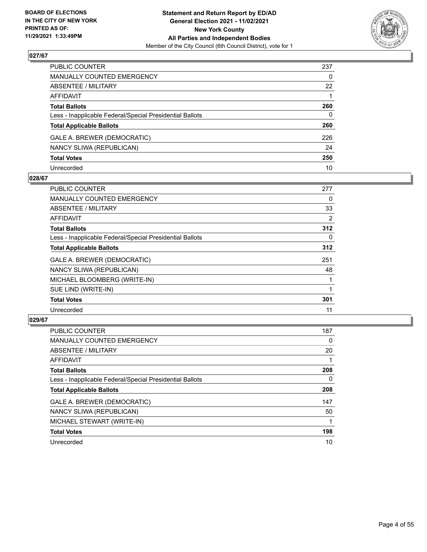

| PUBLIC COUNTER                                           | 237          |
|----------------------------------------------------------|--------------|
| MANUALLY COUNTED EMERGENCY                               | $\mathbf{0}$ |
| ABSENTEE / MILITARY                                      | 22           |
| AFFIDAVIT                                                |              |
| Total Ballots                                            | 260          |
| Less - Inapplicable Federal/Special Presidential Ballots | 0            |
| <b>Total Applicable Ballots</b>                          | 260          |
| GALE A. BREWER (DEMOCRATIC)                              | 226          |
| NANCY SLIWA (REPUBLICAN)                                 | 24           |
| <b>Total Votes</b>                                       | 250          |
| Unrecorded                                               | 10           |

#### **028/67**

| PUBLIC COUNTER                                           | 277 |
|----------------------------------------------------------|-----|
| <b>MANUALLY COUNTED EMERGENCY</b>                        | 0   |
| ABSENTEE / MILITARY                                      | 33  |
| <b>AFFIDAVIT</b>                                         | 2   |
| <b>Total Ballots</b>                                     | 312 |
| Less - Inapplicable Federal/Special Presidential Ballots | 0   |
| <b>Total Applicable Ballots</b>                          | 312 |
| GALE A. BREWER (DEMOCRATIC)                              | 251 |
| NANCY SLIWA (REPUBLICAN)                                 | 48  |
| MICHAEL BLOOMBERG (WRITE-IN)                             |     |
| SUE LIND (WRITE-IN)                                      |     |
| <b>Total Votes</b>                                       | 301 |
| Unrecorded                                               | 11  |

| <b>PUBLIC COUNTER</b>                                    | 187      |
|----------------------------------------------------------|----------|
| MANUALLY COUNTED EMERGENCY                               | $\Omega$ |
| ABSENTEE / MILITARY                                      | 20       |
| <b>AFFIDAVIT</b>                                         |          |
| <b>Total Ballots</b>                                     | 208      |
| Less - Inapplicable Federal/Special Presidential Ballots | 0        |
| <b>Total Applicable Ballots</b>                          | 208      |
| GALE A. BREWER (DEMOCRATIC)                              | 147      |
| NANCY SLIWA (REPUBLICAN)                                 | 50       |
| MICHAEL STEWART (WRITE-IN)                               |          |
| <b>Total Votes</b>                                       | 198      |
| Unrecorded                                               | 10       |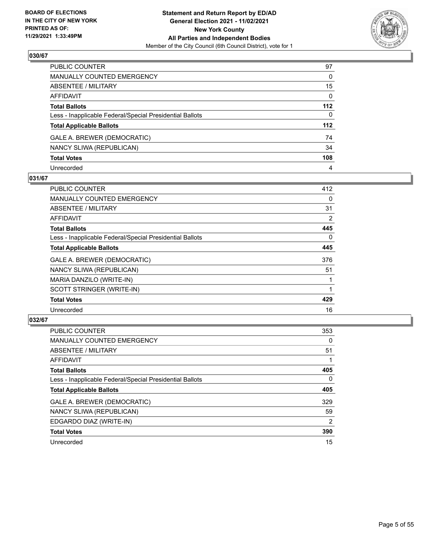

| PUBLIC COUNTER                                           | 97           |
|----------------------------------------------------------|--------------|
| MANUALLY COUNTED EMERGENCY                               | $\mathbf{0}$ |
| ABSENTEE / MILITARY                                      | 15           |
| <b>AFFIDAVIT</b>                                         | $\mathbf{0}$ |
| <b>Total Ballots</b>                                     | 112          |
| Less - Inapplicable Federal/Special Presidential Ballots | $\Omega$     |
| <b>Total Applicable Ballots</b>                          | 112          |
| GALE A. BREWER (DEMOCRATIC)                              | 74           |
| NANCY SLIWA (REPUBLICAN)                                 | 34           |
| <b>Total Votes</b>                                       | 108          |
| Unrecorded                                               | 4            |

## **031/67**

| PUBLIC COUNTER                                           | 412 |
|----------------------------------------------------------|-----|
| <b>MANUALLY COUNTED EMERGENCY</b>                        | 0   |
| ABSENTEE / MILITARY                                      | 31  |
| <b>AFFIDAVIT</b>                                         | 2   |
| <b>Total Ballots</b>                                     | 445 |
| Less - Inapplicable Federal/Special Presidential Ballots | 0   |
| <b>Total Applicable Ballots</b>                          | 445 |
| GALE A. BREWER (DEMOCRATIC)                              | 376 |
| NANCY SLIWA (REPUBLICAN)                                 | 51  |
| MARIA DANZILO (WRITE-IN)                                 |     |
| SCOTT STRINGER (WRITE-IN)                                |     |
| <b>Total Votes</b>                                       | 429 |
| Unrecorded                                               | 16  |

| <b>PUBLIC COUNTER</b>                                    | 353      |
|----------------------------------------------------------|----------|
| <b>MANUALLY COUNTED EMERGENCY</b>                        | 0        |
| ABSENTEE / MILITARY                                      | 51       |
| <b>AFFIDAVIT</b>                                         |          |
| <b>Total Ballots</b>                                     | 405      |
| Less - Inapplicable Federal/Special Presidential Ballots | $\Omega$ |
| <b>Total Applicable Ballots</b>                          | 405      |
| GALE A. BREWER (DEMOCRATIC)                              | 329      |
| NANCY SLIWA (REPUBLICAN)                                 | 59       |
| EDGARDO DIAZ (WRITE-IN)                                  | 2        |
| <b>Total Votes</b>                                       | 390      |
| Unrecorded                                               | 15       |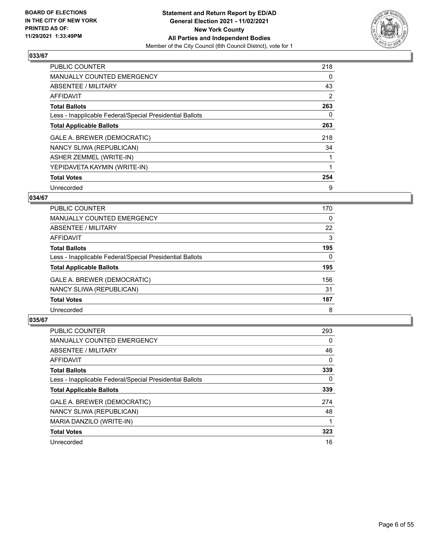

| <b>PUBLIC COUNTER</b>                                    | 218            |
|----------------------------------------------------------|----------------|
| <b>MANUALLY COUNTED EMERGENCY</b>                        | 0              |
| ABSENTEE / MILITARY                                      | 43             |
| <b>AFFIDAVIT</b>                                         | $\overline{2}$ |
| <b>Total Ballots</b>                                     | 263            |
| Less - Inapplicable Federal/Special Presidential Ballots | $\Omega$       |
| <b>Total Applicable Ballots</b>                          | 263            |
| GALE A. BREWER (DEMOCRATIC)                              | 218            |
| NANCY SLIWA (REPUBLICAN)                                 | 34             |
| ASHER ZEMMEL (WRITE-IN)                                  |                |
| YEPIDAVETA KAYMIN (WRITE-IN)                             |                |
| <b>Total Votes</b>                                       | 254            |
| Unrecorded                                               | 9              |

# **034/67**

| PUBLIC COUNTER                                           | 170      |
|----------------------------------------------------------|----------|
| <b>MANUALLY COUNTED EMERGENCY</b>                        | $\Omega$ |
| ABSENTEE / MILITARY                                      | 22       |
| <b>AFFIDAVIT</b>                                         | 3        |
| <b>Total Ballots</b>                                     | 195      |
| Less - Inapplicable Federal/Special Presidential Ballots | $\Omega$ |
| <b>Total Applicable Ballots</b>                          | 195      |
| GALE A. BREWER (DEMOCRATIC)                              | 156      |
| NANCY SLIWA (REPUBLICAN)                                 | 31       |
| <b>Total Votes</b>                                       | 187      |
| Unrecorded                                               | 8        |

| <b>PUBLIC COUNTER</b>                                    | 293      |
|----------------------------------------------------------|----------|
| MANUALLY COUNTED EMERGENCY                               | $\Omega$ |
| ABSENTEE / MILITARY                                      | 46       |
| <b>AFFIDAVIT</b>                                         | $\Omega$ |
| <b>Total Ballots</b>                                     | 339      |
| Less - Inapplicable Federal/Special Presidential Ballots | $\Omega$ |
| <b>Total Applicable Ballots</b>                          | 339      |
| GALE A. BREWER (DEMOCRATIC)                              | 274      |
| NANCY SLIWA (REPUBLICAN)                                 | 48       |
| MARIA DANZILO (WRITE-IN)                                 |          |
| <b>Total Votes</b>                                       | 323      |
| Unrecorded                                               | 16       |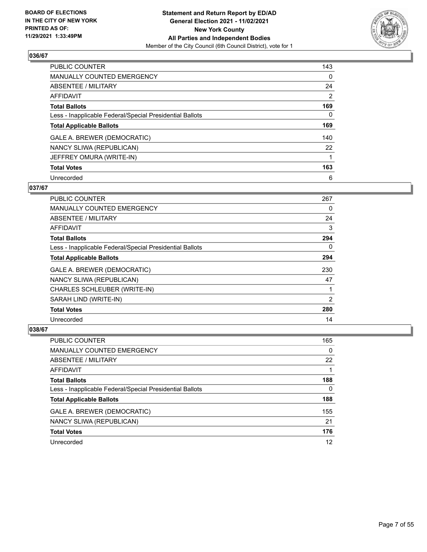

| <b>PUBLIC COUNTER</b>                                    | 143      |
|----------------------------------------------------------|----------|
| <b>MANUALLY COUNTED EMERGENCY</b>                        | 0        |
| ABSENTEE / MILITARY                                      | 24       |
| AFFIDAVIT                                                | 2        |
| <b>Total Ballots</b>                                     | 169      |
| Less - Inapplicable Federal/Special Presidential Ballots | $\Omega$ |
| <b>Total Applicable Ballots</b>                          | 169      |
| GALE A. BREWER (DEMOCRATIC)                              | 140      |
| NANCY SLIWA (REPUBLICAN)                                 | 22       |
| JEFFREY OMURA (WRITE-IN)                                 |          |
| <b>Total Votes</b>                                       | 163      |
| Unrecorded                                               | 6        |

## **037/67**

| PUBLIC COUNTER                                           | 267      |
|----------------------------------------------------------|----------|
| MANUALLY COUNTED EMERGENCY                               | 0        |
| ABSENTEE / MILITARY                                      | 24       |
| <b>AFFIDAVIT</b>                                         | 3        |
| <b>Total Ballots</b>                                     | 294      |
| Less - Inapplicable Federal/Special Presidential Ballots | $\Omega$ |
| <b>Total Applicable Ballots</b>                          | 294      |
| GALE A. BREWER (DEMOCRATIC)                              | 230      |
| NANCY SLIWA (REPUBLICAN)                                 | 47       |
| CHARLES SCHLEUBER (WRITE-IN)                             |          |
| SARAH LIND (WRITE-IN)                                    | 2        |
| <b>Total Votes</b>                                       | 280      |
| Unrecorded                                               | 14       |

| PUBLIC COUNTER                                           | 165 |
|----------------------------------------------------------|-----|
| <b>MANUALLY COUNTED EMERGENCY</b>                        | 0   |
| ABSENTEE / MILITARY                                      | 22  |
| AFFIDAVIT                                                |     |
| <b>Total Ballots</b>                                     | 188 |
| Less - Inapplicable Federal/Special Presidential Ballots | 0   |
| <b>Total Applicable Ballots</b>                          | 188 |
| GALE A. BREWER (DEMOCRATIC)                              | 155 |
| NANCY SLIWA (REPUBLICAN)                                 | 21  |
| <b>Total Votes</b>                                       | 176 |
| Unrecorded                                               | 12  |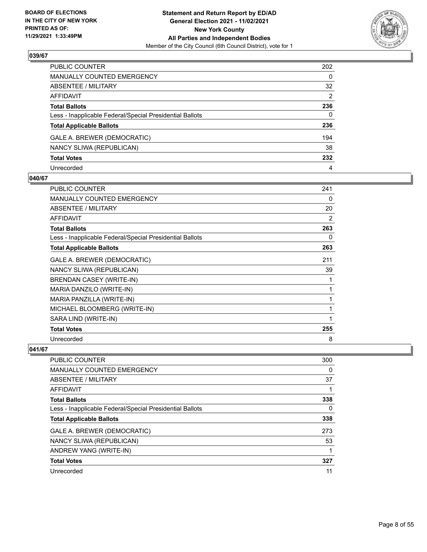

| PUBLIC COUNTER                                           | 202          |
|----------------------------------------------------------|--------------|
| <b>MANUALLY COUNTED EMERGENCY</b>                        | $\mathbf{0}$ |
| <b>ABSENTEE / MILITARY</b>                               | 32           |
| <b>AFFIDAVIT</b>                                         | 2            |
| <b>Total Ballots</b>                                     | 236          |
| Less - Inapplicable Federal/Special Presidential Ballots | 0            |
| <b>Total Applicable Ballots</b>                          | 236          |
| GALE A. BREWER (DEMOCRATIC)                              | 194          |
| NANCY SLIWA (REPUBLICAN)                                 | 38           |
| <b>Total Votes</b>                                       | 232          |
| Unrecorded                                               | 4            |

#### **040/67**

| <b>PUBLIC COUNTER</b>                                    | 241 |
|----------------------------------------------------------|-----|
| <b>MANUALLY COUNTED EMERGENCY</b>                        | 0   |
| ABSENTEE / MILITARY                                      | 20  |
| <b>AFFIDAVIT</b>                                         | 2   |
| <b>Total Ballots</b>                                     | 263 |
| Less - Inapplicable Federal/Special Presidential Ballots | 0   |
| <b>Total Applicable Ballots</b>                          | 263 |
| GALE A. BREWER (DEMOCRATIC)                              | 211 |
| NANCY SLIWA (REPUBLICAN)                                 | 39  |
| BRENDAN CASEY (WRITE-IN)                                 | 1   |
| MARIA DANZILO (WRITE-IN)                                 | 1   |
| MARIA PANZILLA (WRITE-IN)                                | 1   |
| MICHAEL BLOOMBERG (WRITE-IN)                             | 1   |
| SARA LIND (WRITE-IN)                                     | 1   |
| <b>Total Votes</b>                                       | 255 |
| Unrecorded                                               | 8   |

| PUBLIC COUNTER                                           | 300 |
|----------------------------------------------------------|-----|
| <b>MANUALLY COUNTED EMERGENCY</b>                        | 0   |
| ABSENTEE / MILITARY                                      | 37  |
| AFFIDAVIT                                                |     |
| <b>Total Ballots</b>                                     | 338 |
| Less - Inapplicable Federal/Special Presidential Ballots | 0   |
| <b>Total Applicable Ballots</b>                          | 338 |
| GALE A. BREWER (DEMOCRATIC)                              | 273 |
| NANCY SLIWA (REPUBLICAN)                                 | 53  |
| ANDREW YANG (WRITE-IN)                                   |     |
| <b>Total Votes</b>                                       | 327 |
| Unrecorded                                               | 11  |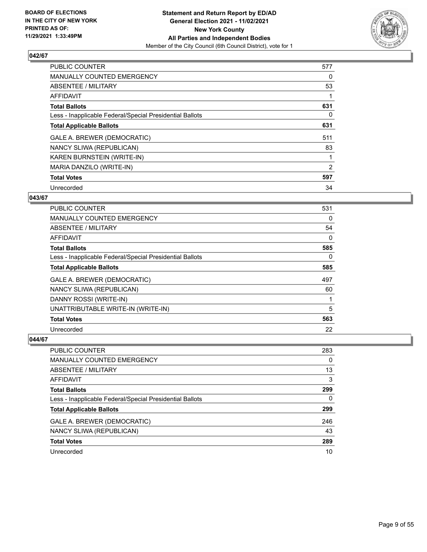

| <b>PUBLIC COUNTER</b>                                    | 577 |
|----------------------------------------------------------|-----|
| <b>MANUALLY COUNTED EMERGENCY</b>                        | 0   |
| ABSENTEE / MILITARY                                      | 53  |
| AFFIDAVIT                                                |     |
| <b>Total Ballots</b>                                     | 631 |
| Less - Inapplicable Federal/Special Presidential Ballots | 0   |
| <b>Total Applicable Ballots</b>                          | 631 |
| GALE A. BREWER (DEMOCRATIC)                              | 511 |
| NANCY SLIWA (REPUBLICAN)                                 | 83  |
| KAREN BURNSTEIN (WRITE-IN)                               |     |
| MARIA DANZILO (WRITE-IN)                                 | 2   |
| <b>Total Votes</b>                                       | 597 |
| Unrecorded                                               | 34  |

# **043/67**

| <b>PUBLIC COUNTER</b>                                    | 531 |
|----------------------------------------------------------|-----|
| MANUALLY COUNTED EMERGENCY                               | 0   |
| ABSENTEE / MILITARY                                      | 54  |
| AFFIDAVIT                                                | 0   |
| <b>Total Ballots</b>                                     | 585 |
| Less - Inapplicable Federal/Special Presidential Ballots | 0   |
| <b>Total Applicable Ballots</b>                          | 585 |
| GALE A. BREWER (DEMOCRATIC)                              | 497 |
| NANCY SLIWA (REPUBLICAN)                                 | 60  |
| DANNY ROSSI (WRITE-IN)                                   |     |
| UNATTRIBUTABLE WRITE-IN (WRITE-IN)                       | 5   |
| <b>Total Votes</b>                                       | 563 |
| Unrecorded                                               | 22  |

| <b>PUBLIC COUNTER</b>                                    | 283 |
|----------------------------------------------------------|-----|
| MANUALLY COUNTED EMERGENCY                               | 0   |
| ABSENTEE / MILITARY                                      | 13  |
| AFFIDAVIT                                                | 3   |
| <b>Total Ballots</b>                                     | 299 |
| Less - Inapplicable Federal/Special Presidential Ballots | 0   |
| <b>Total Applicable Ballots</b>                          | 299 |
| GALE A. BREWER (DEMOCRATIC)                              | 246 |
| NANCY SLIWA (REPUBLICAN)                                 | 43  |
| <b>Total Votes</b>                                       | 289 |
| Unrecorded                                               | 10  |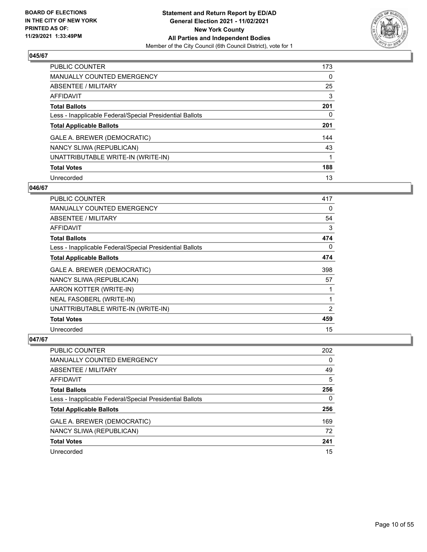

| <b>PUBLIC COUNTER</b>                                    | 173      |
|----------------------------------------------------------|----------|
| <b>MANUALLY COUNTED EMERGENCY</b>                        | $\Omega$ |
| <b>ABSENTEE / MILITARY</b>                               | 25       |
| AFFIDAVIT                                                | 3        |
| <b>Total Ballots</b>                                     | 201      |
| Less - Inapplicable Federal/Special Presidential Ballots | 0        |
| <b>Total Applicable Ballots</b>                          | 201      |
| GALE A. BREWER (DEMOCRATIC)                              | 144      |
| NANCY SLIWA (REPUBLICAN)                                 | 43       |
| UNATTRIBUTABLE WRITE-IN (WRITE-IN)                       |          |
| <b>Total Votes</b>                                       | 188      |
| Unrecorded                                               | 13       |

#### **046/67**

| <b>PUBLIC COUNTER</b>                                    | 417 |
|----------------------------------------------------------|-----|
| <b>MANUALLY COUNTED EMERGENCY</b>                        | 0   |
| ABSENTEE / MILITARY                                      | 54  |
| <b>AFFIDAVIT</b>                                         | 3   |
| <b>Total Ballots</b>                                     | 474 |
| Less - Inapplicable Federal/Special Presidential Ballots | 0   |
| <b>Total Applicable Ballots</b>                          | 474 |
| GALE A. BREWER (DEMOCRATIC)                              | 398 |
| NANCY SLIWA (REPUBLICAN)                                 | 57  |
| AARON KOTTER (WRITE-IN)                                  |     |
| NEAL FASOBERL (WRITE-IN)                                 | 1   |
| UNATTRIBUTABLE WRITE-IN (WRITE-IN)                       | 2   |
| <b>Total Votes</b>                                       | 459 |
| Unrecorded                                               | 15  |

| <b>PUBLIC COUNTER</b>                                    | 202 |
|----------------------------------------------------------|-----|
| <b>MANUALLY COUNTED EMERGENCY</b>                        | 0   |
| ABSENTEE / MILITARY                                      | 49  |
| AFFIDAVIT                                                | 5   |
| <b>Total Ballots</b>                                     | 256 |
| Less - Inapplicable Federal/Special Presidential Ballots | 0   |
| <b>Total Applicable Ballots</b>                          | 256 |
| GALE A. BREWER (DEMOCRATIC)                              | 169 |
| NANCY SLIWA (REPUBLICAN)                                 | 72  |
| <b>Total Votes</b>                                       | 241 |
| Unrecorded                                               | 15  |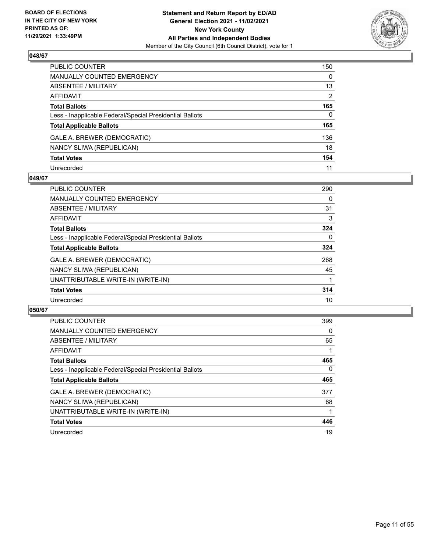

| PUBLIC COUNTER                                           | 150          |
|----------------------------------------------------------|--------------|
| MANUALLY COUNTED EMERGENCY                               | $\mathbf{0}$ |
| ABSENTEE / MILITARY                                      | 13           |
| <b>AFFIDAVIT</b>                                         | 2            |
| <b>Total Ballots</b>                                     | 165          |
| Less - Inapplicable Federal/Special Presidential Ballots | $\Omega$     |
| <b>Total Applicable Ballots</b>                          | 165          |
| GALE A. BREWER (DEMOCRATIC)                              | 136          |
| NANCY SLIWA (REPUBLICAN)                                 | 18           |
| <b>Total Votes</b>                                       | 154          |
| Unrecorded                                               | 11           |

#### **049/67**

| <b>PUBLIC COUNTER</b>                                    | 290 |
|----------------------------------------------------------|-----|
| <b>MANUALLY COUNTED EMERGENCY</b>                        | 0   |
| ABSENTEE / MILITARY                                      | 31  |
| <b>AFFIDAVIT</b>                                         | 3   |
| <b>Total Ballots</b>                                     | 324 |
| Less - Inapplicable Federal/Special Presidential Ballots | 0   |
| <b>Total Applicable Ballots</b>                          | 324 |
| GALE A. BREWER (DEMOCRATIC)                              | 268 |
| NANCY SLIWA (REPUBLICAN)                                 | 45  |
| UNATTRIBUTABLE WRITE-IN (WRITE-IN)                       |     |
| <b>Total Votes</b>                                       | 314 |
| Unrecorded                                               | 10  |

| <b>PUBLIC COUNTER</b>                                    | 399      |
|----------------------------------------------------------|----------|
| <b>MANUALLY COUNTED EMERGENCY</b>                        | $\Omega$ |
| ABSENTEE / MILITARY                                      | 65       |
| AFFIDAVIT                                                |          |
| <b>Total Ballots</b>                                     | 465      |
| Less - Inapplicable Federal/Special Presidential Ballots | $\Omega$ |
| <b>Total Applicable Ballots</b>                          | 465      |
| GALE A. BREWER (DEMOCRATIC)                              | 377      |
| NANCY SLIWA (REPUBLICAN)                                 | 68       |
| UNATTRIBUTABLE WRITE-IN (WRITE-IN)                       |          |
| <b>Total Votes</b>                                       | 446      |
| Unrecorded                                               | 19       |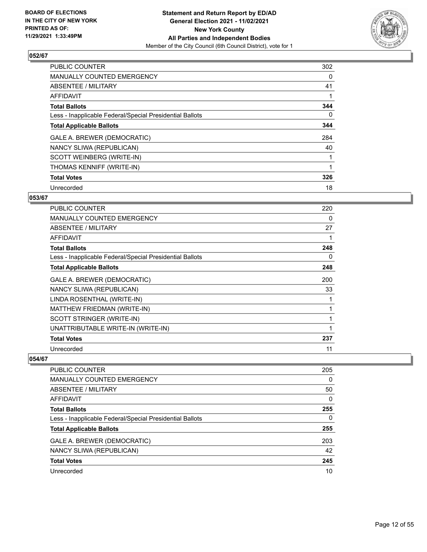

| <b>PUBLIC COUNTER</b>                                    | 302 |
|----------------------------------------------------------|-----|
| <b>MANUALLY COUNTED EMERGENCY</b>                        | 0   |
| ABSENTEE / MILITARY                                      | 41  |
| AFFIDAVIT                                                |     |
| <b>Total Ballots</b>                                     | 344 |
| Less - Inapplicable Federal/Special Presidential Ballots | 0   |
| <b>Total Applicable Ballots</b>                          | 344 |
| GALE A. BREWER (DEMOCRATIC)                              | 284 |
| NANCY SLIWA (REPUBLICAN)                                 | 40  |
| SCOTT WEINBERG (WRITE-IN)                                |     |
| THOMAS KENNIFF (WRITE-IN)                                |     |
| <b>Total Votes</b>                                       | 326 |
| Unrecorded                                               | 18  |

# **053/67**

| PUBLIC COUNTER                                           | 220 |
|----------------------------------------------------------|-----|
| <b>MANUALLY COUNTED EMERGENCY</b>                        | 0   |
| <b>ABSENTEE / MILITARY</b>                               | 27  |
| AFFIDAVIT                                                |     |
| <b>Total Ballots</b>                                     | 248 |
| Less - Inapplicable Federal/Special Presidential Ballots | 0   |
| <b>Total Applicable Ballots</b>                          | 248 |
| GALE A. BREWER (DEMOCRATIC)                              | 200 |
| NANCY SLIWA (REPUBLICAN)                                 | 33  |
| LINDA ROSENTHAL (WRITE-IN)                               |     |
| MATTHEW FRIEDMAN (WRITE-IN)                              |     |
| SCOTT STRINGER (WRITE-IN)                                |     |
| UNATTRIBUTABLE WRITE-IN (WRITE-IN)                       |     |
| <b>Total Votes</b>                                       | 237 |
| Unrecorded                                               | 11  |

| <b>PUBLIC COUNTER</b>                                    | 205      |
|----------------------------------------------------------|----------|
| <b>MANUALLY COUNTED EMERGENCY</b>                        | $\Omega$ |
| ABSENTEE / MILITARY                                      | 50       |
| AFFIDAVIT                                                | $\Omega$ |
| <b>Total Ballots</b>                                     | 255      |
| Less - Inapplicable Federal/Special Presidential Ballots | 0        |
| <b>Total Applicable Ballots</b>                          | 255      |
| GALE A. BREWER (DEMOCRATIC)                              | 203      |
| NANCY SLIWA (REPUBLICAN)                                 | 42       |
| <b>Total Votes</b>                                       | 245      |
| Unrecorded                                               | 10       |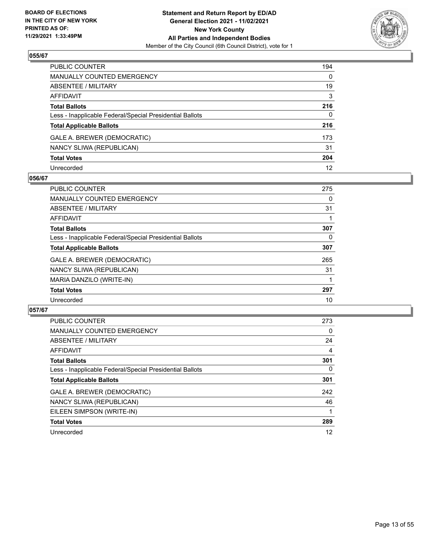

| PUBLIC COUNTER                                           | 194          |
|----------------------------------------------------------|--------------|
| <b>MANUALLY COUNTED EMERGENCY</b>                        | $\mathbf{0}$ |
| ABSENTEE / MILITARY                                      | 19           |
| <b>AFFIDAVIT</b>                                         | 3            |
| <b>Total Ballots</b>                                     | 216          |
| Less - Inapplicable Federal/Special Presidential Ballots | $\mathbf{0}$ |
| <b>Total Applicable Ballots</b>                          | 216          |
| GALE A. BREWER (DEMOCRATIC)                              | 173          |
| NANCY SLIWA (REPUBLICAN)                                 | 31           |
| <b>Total Votes</b>                                       | 204          |
| Unrecorded                                               | 12           |

#### **056/67**

| <b>PUBLIC COUNTER</b>                                    | 275 |
|----------------------------------------------------------|-----|
| <b>MANUALLY COUNTED EMERGENCY</b>                        | 0   |
| ABSENTEE / MILITARY                                      | 31  |
| AFFIDAVIT                                                |     |
| <b>Total Ballots</b>                                     | 307 |
| Less - Inapplicable Federal/Special Presidential Ballots | 0   |
| <b>Total Applicable Ballots</b>                          | 307 |
| GALE A. BREWER (DEMOCRATIC)                              | 265 |
| NANCY SLIWA (REPUBLICAN)                                 | 31  |
| MARIA DANZILO (WRITE-IN)                                 |     |
| <b>Total Votes</b>                                       | 297 |
| Unrecorded                                               | 10  |

| PUBLIC COUNTER                                           | 273            |
|----------------------------------------------------------|----------------|
| <b>MANUALLY COUNTED EMERGENCY</b>                        | 0              |
| ABSENTEE / MILITARY                                      | 24             |
| <b>AFFIDAVIT</b>                                         | $\overline{4}$ |
| <b>Total Ballots</b>                                     | 301            |
| Less - Inapplicable Federal/Special Presidential Ballots | $\Omega$       |
| <b>Total Applicable Ballots</b>                          | 301            |
| GALE A. BREWER (DEMOCRATIC)                              | 242            |
| NANCY SLIWA (REPUBLICAN)                                 | 46             |
| EILEEN SIMPSON (WRITE-IN)                                |                |
| <b>Total Votes</b>                                       | 289            |
| Unrecorded                                               | 12             |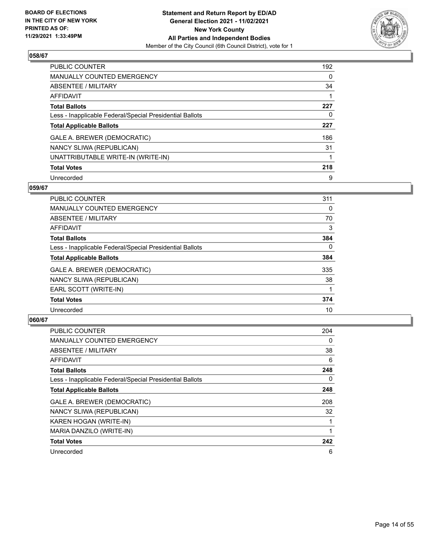

| <b>PUBLIC COUNTER</b>                                    | 192      |
|----------------------------------------------------------|----------|
| MANUALLY COUNTED EMERGENCY                               | $\Omega$ |
| ABSENTEE / MILITARY                                      | 34       |
| AFFIDAVIT                                                |          |
| <b>Total Ballots</b>                                     | 227      |
| Less - Inapplicable Federal/Special Presidential Ballots | 0        |
| <b>Total Applicable Ballots</b>                          | 227      |
| GALE A. BREWER (DEMOCRATIC)                              | 186      |
| NANCY SLIWA (REPUBLICAN)                                 | 31       |
| UNATTRIBUTABLE WRITE-IN (WRITE-IN)                       | 1        |
| <b>Total Votes</b>                                       | 218      |
| Unrecorded                                               | 9        |

#### **059/67**

| PUBLIC COUNTER                                           | 311      |
|----------------------------------------------------------|----------|
| MANUALLY COUNTED EMERGENCY                               | $\Omega$ |
| ABSENTEE / MILITARY                                      | 70       |
| <b>AFFIDAVIT</b>                                         | 3        |
| <b>Total Ballots</b>                                     | 384      |
| Less - Inapplicable Federal/Special Presidential Ballots | $\Omega$ |
| <b>Total Applicable Ballots</b>                          | 384      |
| GALE A. BREWER (DEMOCRATIC)                              | 335      |
| NANCY SLIWA (REPUBLICAN)                                 | 38       |
| EARL SCOTT (WRITE-IN)                                    |          |
| <b>Total Votes</b>                                       | 374      |
| Unrecorded                                               | 10       |

| <b>PUBLIC COUNTER</b>                                    | 204 |
|----------------------------------------------------------|-----|
| <b>MANUALLY COUNTED EMERGENCY</b>                        | 0   |
| ABSENTEE / MILITARY                                      | 38  |
| AFFIDAVIT                                                | 6   |
| <b>Total Ballots</b>                                     | 248 |
| Less - Inapplicable Federal/Special Presidential Ballots | 0   |
| <b>Total Applicable Ballots</b>                          | 248 |
| GALE A. BREWER (DEMOCRATIC)                              | 208 |
| NANCY SLIWA (REPUBLICAN)                                 | 32  |
| KAREN HOGAN (WRITE-IN)                                   |     |
| MARIA DANZILO (WRITE-IN)                                 |     |
| <b>Total Votes</b>                                       | 242 |
| Unrecorded                                               | 6   |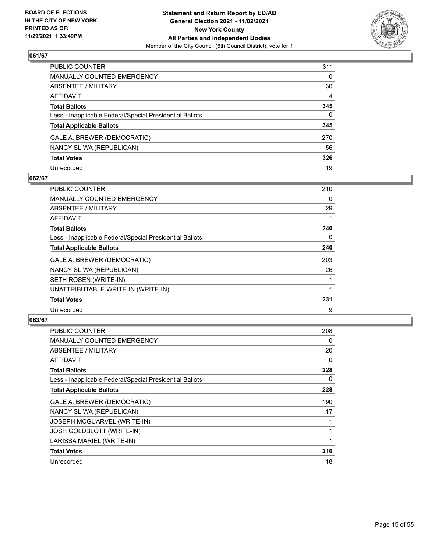

| PUBLIC COUNTER                                           | 311      |
|----------------------------------------------------------|----------|
| MANUALLY COUNTED EMERGENCY                               | 0        |
| ABSENTEE / MILITARY                                      | 30       |
| AFFIDAVIT                                                | 4        |
| Total Ballots                                            | 345      |
| Less - Inapplicable Federal/Special Presidential Ballots | $\Omega$ |
| <b>Total Applicable Ballots</b>                          | 345      |
| GALE A. BREWER (DEMOCRATIC)                              | 270      |
| NANCY SLIWA (REPUBLICAN)                                 | 56       |
| <b>Total Votes</b>                                       | 326      |
| Unrecorded                                               | 19       |

## **062/67**

| <b>PUBLIC COUNTER</b>                                    | 210 |
|----------------------------------------------------------|-----|
| <b>MANUALLY COUNTED EMERGENCY</b>                        | 0   |
| <b>ABSENTEE / MILITARY</b>                               | 29  |
| AFFIDAVIT                                                |     |
| <b>Total Ballots</b>                                     | 240 |
| Less - Inapplicable Federal/Special Presidential Ballots | 0   |
| <b>Total Applicable Ballots</b>                          | 240 |
| GALE A. BREWER (DEMOCRATIC)                              | 203 |
| NANCY SLIWA (REPUBLICAN)                                 | 26  |
| SETH ROSEN (WRITE-IN)                                    |     |
| UNATTRIBUTABLE WRITE-IN (WRITE-IN)                       |     |
| <b>Total Votes</b>                                       | 231 |
| Unrecorded                                               | 9   |

| <b>PUBLIC COUNTER</b>                                    | 208 |
|----------------------------------------------------------|-----|
| <b>MANUALLY COUNTED EMERGENCY</b>                        | 0   |
| ABSENTEE / MILITARY                                      | 20  |
| AFFIDAVIT                                                | 0   |
| <b>Total Ballots</b>                                     | 228 |
| Less - Inapplicable Federal/Special Presidential Ballots | 0   |
| <b>Total Applicable Ballots</b>                          | 228 |
| GALE A. BREWER (DEMOCRATIC)                              | 190 |
| NANCY SLIWA (REPUBLICAN)                                 | 17  |
| <b>JOSEPH MCGUARVEL (WRITE-IN)</b>                       |     |
| <b>JOSH GOLDBLOTT (WRITE-IN)</b>                         | 1   |
| LARISSA MARIEL (WRITE-IN)                                | 1   |
| <b>Total Votes</b>                                       | 210 |
| Unrecorded                                               | 18  |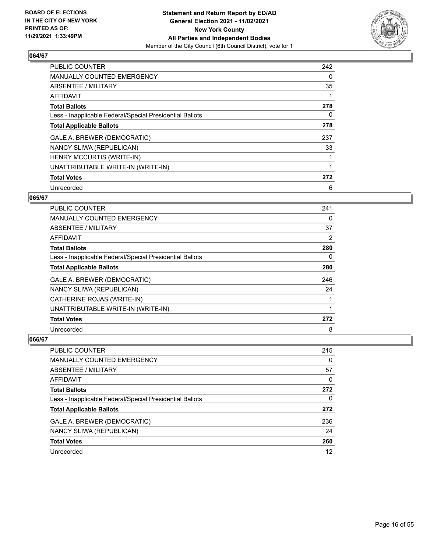

| <b>PUBLIC COUNTER</b>                                    | 242 |
|----------------------------------------------------------|-----|
| <b>MANUALLY COUNTED EMERGENCY</b>                        | 0   |
| ABSENTEE / MILITARY                                      | 35  |
| <b>AFFIDAVIT</b>                                         |     |
| <b>Total Ballots</b>                                     | 278 |
| Less - Inapplicable Federal/Special Presidential Ballots | 0   |
| <b>Total Applicable Ballots</b>                          | 278 |
| GALE A. BREWER (DEMOCRATIC)                              | 237 |
| NANCY SLIWA (REPUBLICAN)                                 | 33  |
| <b>HENRY MCCURTIS (WRITE-IN)</b>                         |     |
| UNATTRIBUTABLE WRITE-IN (WRITE-IN)                       |     |
| <b>Total Votes</b>                                       | 272 |
| Unrecorded                                               | 6   |

# **065/67**

| PUBLIC COUNTER                                           | 241      |
|----------------------------------------------------------|----------|
| MANUALLY COUNTED EMERGENCY                               | 0        |
| ABSENTEE / MILITARY                                      | 37       |
| AFFIDAVIT                                                | 2        |
| <b>Total Ballots</b>                                     | 280      |
| Less - Inapplicable Federal/Special Presidential Ballots | $\Omega$ |
| <b>Total Applicable Ballots</b>                          | 280      |
| GALE A. BREWER (DEMOCRATIC)                              | 246      |
| NANCY SLIWA (REPUBLICAN)                                 | 24       |
| CATHERINE ROJAS (WRITE-IN)                               |          |
| UNATTRIBUTABLE WRITE-IN (WRITE-IN)                       |          |
| <b>Total Votes</b>                                       | 272      |
| Unrecorded                                               | 8        |

| <b>PUBLIC COUNTER</b>                                    | 215 |
|----------------------------------------------------------|-----|
| MANUALLY COUNTED EMERGENCY                               | 0   |
| ABSENTEE / MILITARY                                      | 57  |
| AFFIDAVIT                                                | 0   |
| <b>Total Ballots</b>                                     | 272 |
| Less - Inapplicable Federal/Special Presidential Ballots | 0   |
| <b>Total Applicable Ballots</b>                          | 272 |
| GALE A. BREWER (DEMOCRATIC)                              | 236 |
| NANCY SLIWA (REPUBLICAN)                                 | 24  |
| <b>Total Votes</b>                                       | 260 |
| Unrecorded                                               | 12  |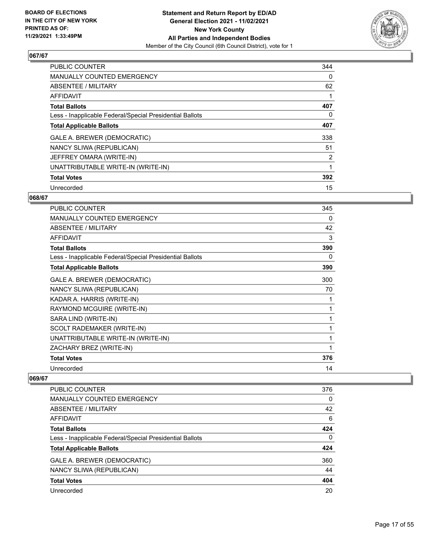

| <b>PUBLIC COUNTER</b>                                    | 344 |
|----------------------------------------------------------|-----|
| <b>MANUALLY COUNTED EMERGENCY</b>                        | 0   |
| ABSENTEE / MILITARY                                      | 62  |
| <b>AFFIDAVIT</b>                                         |     |
| <b>Total Ballots</b>                                     | 407 |
| Less - Inapplicable Federal/Special Presidential Ballots | 0   |
| <b>Total Applicable Ballots</b>                          | 407 |
| GALE A. BREWER (DEMOCRATIC)                              | 338 |
| NANCY SLIWA (REPUBLICAN)                                 | 51  |
| JEFFREY OMARA (WRITE-IN)                                 | 2   |
| UNATTRIBUTABLE WRITE-IN (WRITE-IN)                       |     |
| <b>Total Votes</b>                                       | 392 |
| Unrecorded                                               | 15  |

#### **068/67**

| PUBLIC COUNTER                                           | 345 |
|----------------------------------------------------------|-----|
| <b>MANUALLY COUNTED EMERGENCY</b>                        | 0   |
| <b>ABSENTEE / MILITARY</b>                               | 42  |
| <b>AFFIDAVIT</b>                                         | 3   |
| <b>Total Ballots</b>                                     | 390 |
| Less - Inapplicable Federal/Special Presidential Ballots | 0   |
| <b>Total Applicable Ballots</b>                          | 390 |
| GALE A. BREWER (DEMOCRATIC)                              | 300 |
| NANCY SLIWA (REPUBLICAN)                                 | 70  |
| KADAR A. HARRIS (WRITE-IN)                               | 1   |
| RAYMOND MCGUIRE (WRITE-IN)                               | 1   |
| SARA LIND (WRITE-IN)                                     | 1   |
| SCOLT RADEMAKER (WRITE-IN)                               | 1   |
| UNATTRIBUTABLE WRITE-IN (WRITE-IN)                       | 1   |
| ZACHARY BREZ (WRITE-IN)                                  | 1   |
| <b>Total Votes</b>                                       | 376 |
| Unrecorded                                               | 14  |

| <b>PUBLIC COUNTER</b>                                    | 376      |
|----------------------------------------------------------|----------|
| <b>MANUALLY COUNTED EMERGENCY</b>                        | 0        |
| ABSENTEE / MILITARY                                      | 42       |
| <b>AFFIDAVIT</b>                                         | 6        |
| <b>Total Ballots</b>                                     | 424      |
| Less - Inapplicable Federal/Special Presidential Ballots | $\Omega$ |
| <b>Total Applicable Ballots</b>                          | 424      |
| GALE A. BREWER (DEMOCRATIC)                              | 360      |
| NANCY SLIWA (REPUBLICAN)                                 | 44       |
| <b>Total Votes</b>                                       | 404      |
| Unrecorded                                               | 20       |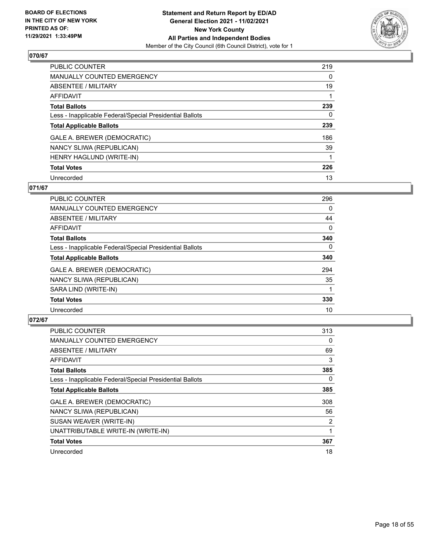

| <b>PUBLIC COUNTER</b>                                    | 219      |
|----------------------------------------------------------|----------|
| MANUALLY COUNTED EMERGENCY                               | $\Omega$ |
| ABSENTEE / MILITARY                                      | 19       |
| AFFIDAVIT                                                |          |
| <b>Total Ballots</b>                                     | 239      |
| Less - Inapplicable Federal/Special Presidential Ballots | 0        |
| <b>Total Applicable Ballots</b>                          | 239      |
| GALE A. BREWER (DEMOCRATIC)                              | 186      |
| NANCY SLIWA (REPUBLICAN)                                 | 39       |
| HENRY HAGLUND (WRITE-IN)                                 |          |
| <b>Total Votes</b>                                       | 226      |
| Unrecorded                                               | 13       |

## **071/67**

| <b>PUBLIC COUNTER</b>                                    | 296      |
|----------------------------------------------------------|----------|
| <b>MANUALLY COUNTED EMERGENCY</b>                        | 0        |
| ABSENTEE / MILITARY                                      | 44       |
| <b>AFFIDAVIT</b>                                         | $\Omega$ |
| <b>Total Ballots</b>                                     | 340      |
| Less - Inapplicable Federal/Special Presidential Ballots | $\Omega$ |
| <b>Total Applicable Ballots</b>                          | 340      |
| GALE A. BREWER (DEMOCRATIC)                              | 294      |
| NANCY SLIWA (REPUBLICAN)                                 | 35       |
| SARA LIND (WRITE-IN)                                     |          |
| <b>Total Votes</b>                                       | 330      |
| Unrecorded                                               | 10       |

| <b>PUBLIC COUNTER</b>                                    | 313      |
|----------------------------------------------------------|----------|
| <b>MANUALLY COUNTED EMERGENCY</b>                        | 0        |
| ABSENTEE / MILITARY                                      | 69       |
| <b>AFFIDAVIT</b>                                         | 3        |
| <b>Total Ballots</b>                                     | 385      |
| Less - Inapplicable Federal/Special Presidential Ballots | $\Omega$ |
| <b>Total Applicable Ballots</b>                          | 385      |
| GALE A. BREWER (DEMOCRATIC)                              | 308      |
| NANCY SLIWA (REPUBLICAN)                                 | 56       |
| SUSAN WEAVER (WRITE-IN)                                  | 2        |
| UNATTRIBUTABLE WRITE-IN (WRITE-IN)                       |          |
| <b>Total Votes</b>                                       | 367      |
| Unrecorded                                               | 18       |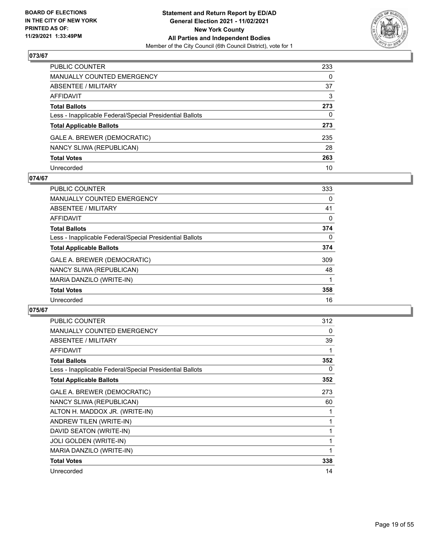

| PUBLIC COUNTER                                           | 233 |
|----------------------------------------------------------|-----|
| MANUALLY COUNTED EMERGENCY                               | 0   |
| ABSENTEE / MILITARY                                      | 37  |
| AFFIDAVIT                                                | 3   |
| Total Ballots                                            | 273 |
| Less - Inapplicable Federal/Special Presidential Ballots | 0   |
| <b>Total Applicable Ballots</b>                          | 273 |
| GALE A. BREWER (DEMOCRATIC)                              | 235 |
| NANCY SLIWA (REPUBLICAN)                                 | 28  |
| <b>Total Votes</b>                                       | 263 |
| Unrecorded                                               | 10  |

#### **074/67**

| <b>PUBLIC COUNTER</b>                                    | 333      |
|----------------------------------------------------------|----------|
| <b>MANUALLY COUNTED EMERGENCY</b>                        | 0        |
| ABSENTEE / MILITARY                                      | 41       |
| AFFIDAVIT                                                | 0        |
| <b>Total Ballots</b>                                     | 374      |
| Less - Inapplicable Federal/Special Presidential Ballots | $\Omega$ |
| <b>Total Applicable Ballots</b>                          | 374      |
| GALE A. BREWER (DEMOCRATIC)                              | 309      |
| NANCY SLIWA (REPUBLICAN)                                 | 48       |
| MARIA DANZILO (WRITE-IN)                                 |          |
| <b>Total Votes</b>                                       | 358      |
| Unrecorded                                               | 16       |

| <b>PUBLIC COUNTER</b>                                    | 312 |
|----------------------------------------------------------|-----|
| <b>MANUALLY COUNTED EMERGENCY</b>                        | 0   |
| ABSENTEE / MILITARY                                      | 39  |
| <b>AFFIDAVIT</b>                                         |     |
| <b>Total Ballots</b>                                     | 352 |
| Less - Inapplicable Federal/Special Presidential Ballots | 0   |
| <b>Total Applicable Ballots</b>                          | 352 |
| GALE A. BREWER (DEMOCRATIC)                              | 273 |
| NANCY SLIWA (REPUBLICAN)                                 | 60  |
| ALTON H. MADDOX JR. (WRITE-IN)                           |     |
| ANDREW TILEN (WRITE-IN)                                  | 1   |
| DAVID SEATON (WRITE-IN)                                  | 1   |
| JOLI GOLDEN (WRITE-IN)                                   | 1   |
| MARIA DANZILO (WRITE-IN)                                 | 1   |
| <b>Total Votes</b>                                       | 338 |
| Unrecorded                                               | 14  |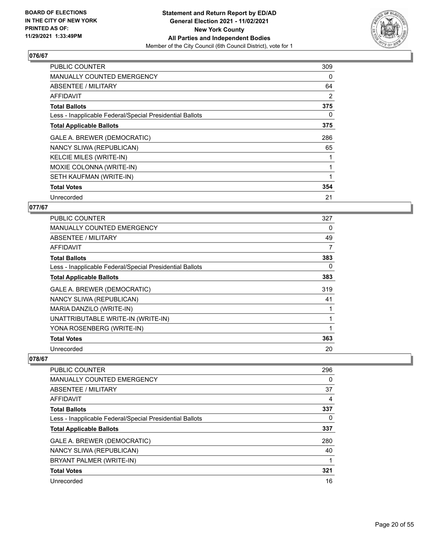

| <b>PUBLIC COUNTER</b>                                    | 309 |
|----------------------------------------------------------|-----|
| <b>MANUALLY COUNTED EMERGENCY</b>                        | 0   |
| <b>ABSENTEE / MILITARY</b>                               | 64  |
| <b>AFFIDAVIT</b>                                         | 2   |
| <b>Total Ballots</b>                                     | 375 |
| Less - Inapplicable Federal/Special Presidential Ballots | 0   |
| <b>Total Applicable Ballots</b>                          | 375 |
| GALE A. BREWER (DEMOCRATIC)                              | 286 |
| NANCY SLIWA (REPUBLICAN)                                 | 65  |
| <b>KELCIE MILES (WRITE-IN)</b>                           |     |
| MOXIE COLONNA (WRITE-IN)                                 |     |
| SETH KAUFMAN (WRITE-IN)                                  |     |
| <b>Total Votes</b>                                       | 354 |
| Unrecorded                                               | 21  |

# **077/67**

| <b>PUBLIC COUNTER</b>                                    | 327 |
|----------------------------------------------------------|-----|
| <b>MANUALLY COUNTED EMERGENCY</b>                        | 0   |
| ABSENTEE / MILITARY                                      | 49  |
| AFFIDAVIT                                                | 7   |
| <b>Total Ballots</b>                                     | 383 |
| Less - Inapplicable Federal/Special Presidential Ballots | 0   |
| <b>Total Applicable Ballots</b>                          | 383 |
| GALE A. BREWER (DEMOCRATIC)                              | 319 |
| NANCY SLIWA (REPUBLICAN)                                 | 41  |
| MARIA DANZILO (WRITE-IN)                                 |     |
| UNATTRIBUTABLE WRITE-IN (WRITE-IN)                       |     |
| YONA ROSENBERG (WRITE-IN)                                |     |
| <b>Total Votes</b>                                       | 363 |
| Unrecorded                                               | 20  |

| <b>PUBLIC COUNTER</b>                                    | 296 |
|----------------------------------------------------------|-----|
| MANUALLY COUNTED EMERGENCY                               | 0   |
| ABSENTEE / MILITARY                                      | 37  |
| AFFIDAVIT                                                | 4   |
| <b>Total Ballots</b>                                     | 337 |
| Less - Inapplicable Federal/Special Presidential Ballots | 0   |
| <b>Total Applicable Ballots</b>                          | 337 |
| GALE A. BREWER (DEMOCRATIC)                              | 280 |
| NANCY SLIWA (REPUBLICAN)                                 | 40  |
| BRYANT PALMER (WRITE-IN)                                 |     |
| <b>Total Votes</b>                                       | 321 |
| Unrecorded                                               | 16  |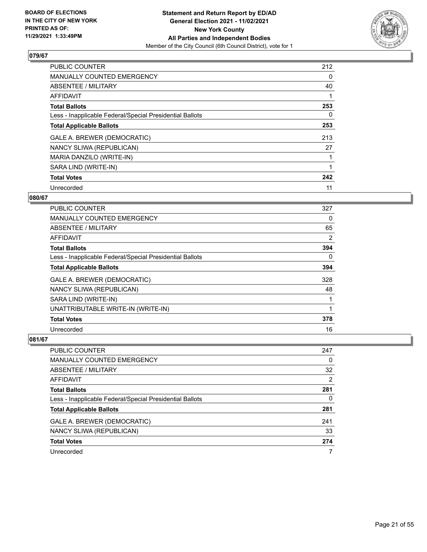

| <b>PUBLIC COUNTER</b>                                    | 212 |
|----------------------------------------------------------|-----|
| <b>MANUALLY COUNTED EMERGENCY</b>                        | 0   |
| ABSENTEE / MILITARY                                      | 40  |
| AFFIDAVIT                                                |     |
| <b>Total Ballots</b>                                     | 253 |
| Less - Inapplicable Federal/Special Presidential Ballots | 0   |
| <b>Total Applicable Ballots</b>                          | 253 |
| GALE A. BREWER (DEMOCRATIC)                              | 213 |
| NANCY SLIWA (REPUBLICAN)                                 | 27  |
| MARIA DANZILO (WRITE-IN)                                 |     |
| SARA LIND (WRITE-IN)                                     |     |
| <b>Total Votes</b>                                       | 242 |
| Unrecorded                                               | 11  |

# **080/67**

| <b>PUBLIC COUNTER</b>                                    | 327 |
|----------------------------------------------------------|-----|
| <b>MANUALLY COUNTED EMERGENCY</b>                        | 0   |
| ABSENTEE / MILITARY                                      | 65  |
| AFFIDAVIT                                                | 2   |
| <b>Total Ballots</b>                                     | 394 |
| Less - Inapplicable Federal/Special Presidential Ballots | 0   |
| <b>Total Applicable Ballots</b>                          | 394 |
| GALE A. BREWER (DEMOCRATIC)                              | 328 |
| NANCY SLIWA (REPUBLICAN)                                 | 48  |
| SARA LIND (WRITE-IN)                                     |     |
| UNATTRIBUTABLE WRITE-IN (WRITE-IN)                       |     |
| <b>Total Votes</b>                                       | 378 |
| Unrecorded                                               | 16  |

| PUBLIC COUNTER                                           | 247            |
|----------------------------------------------------------|----------------|
| MANUALLY COUNTED EMERGENCY                               | 0              |
| ABSENTEE / MILITARY                                      | 32             |
| AFFIDAVIT                                                | $\overline{2}$ |
| <b>Total Ballots</b>                                     | 281            |
| Less - Inapplicable Federal/Special Presidential Ballots | 0              |
| <b>Total Applicable Ballots</b>                          | 281            |
| GALE A. BREWER (DEMOCRATIC)                              | 241            |
| NANCY SLIWA (REPUBLICAN)                                 | 33             |
| <b>Total Votes</b>                                       | 274            |
| Unrecorded                                               | 7              |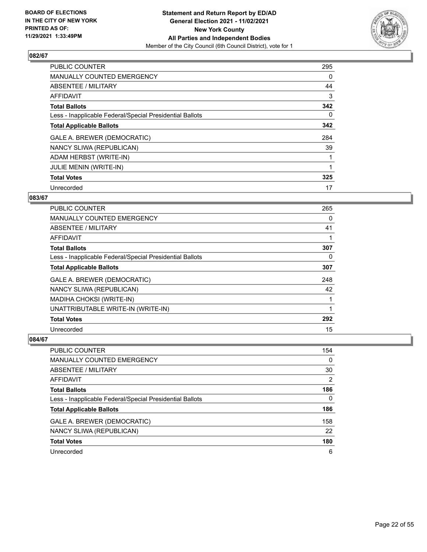

| <b>PUBLIC COUNTER</b>                                    | 295 |
|----------------------------------------------------------|-----|
| <b>MANUALLY COUNTED EMERGENCY</b>                        | 0   |
| ABSENTEE / MILITARY                                      | 44  |
| AFFIDAVIT                                                | 3   |
| <b>Total Ballots</b>                                     | 342 |
| Less - Inapplicable Federal/Special Presidential Ballots | 0   |
| <b>Total Applicable Ballots</b>                          | 342 |
| GALE A. BREWER (DEMOCRATIC)                              | 284 |
| NANCY SLIWA (REPUBLICAN)                                 | 39  |
| ADAM HERBST (WRITE-IN)                                   |     |
| JULIE MENIN (WRITE-IN)                                   |     |
| <b>Total Votes</b>                                       | 325 |
| Unrecorded                                               | 17  |

# **083/67**

| PUBLIC COUNTER                                           | 265 |
|----------------------------------------------------------|-----|
| MANUALLY COUNTED EMERGENCY                               | 0   |
| ABSENTEE / MILITARY                                      | 41  |
| <b>AFFIDAVIT</b>                                         |     |
| <b>Total Ballots</b>                                     | 307 |
| Less - Inapplicable Federal/Special Presidential Ballots | 0   |
| <b>Total Applicable Ballots</b>                          | 307 |
| GALE A. BREWER (DEMOCRATIC)                              | 248 |
| NANCY SLIWA (REPUBLICAN)                                 | 42  |
| MADIHA CHOKSI (WRITE-IN)                                 |     |
| UNATTRIBUTABLE WRITE-IN (WRITE-IN)                       |     |
| <b>Total Votes</b>                                       | 292 |
| Unrecorded                                               | 15  |

| <b>PUBLIC COUNTER</b>                                    | 154            |
|----------------------------------------------------------|----------------|
| <b>MANUALLY COUNTED EMERGENCY</b>                        | 0              |
| ABSENTEE / MILITARY                                      | 30             |
| AFFIDAVIT                                                | $\overline{2}$ |
| <b>Total Ballots</b>                                     | 186            |
| Less - Inapplicable Federal/Special Presidential Ballots | $\Omega$       |
| <b>Total Applicable Ballots</b>                          | 186            |
| GALE A. BREWER (DEMOCRATIC)                              | 158            |
| NANCY SLIWA (REPUBLICAN)                                 | 22             |
| <b>Total Votes</b>                                       | 180            |
| Unrecorded                                               | 6              |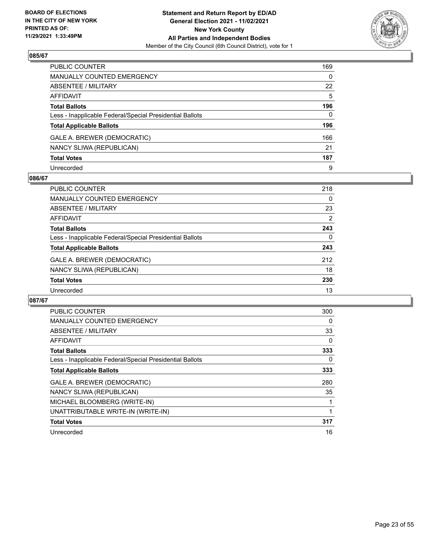

| PUBLIC COUNTER                                           | 169          |
|----------------------------------------------------------|--------------|
| MANUALLY COUNTED EMERGENCY                               | $\mathbf{0}$ |
| ABSENTEE / MILITARY                                      | 22           |
| AFFIDAVIT                                                | 5            |
| Total Ballots                                            | 196          |
| Less - Inapplicable Federal/Special Presidential Ballots | $\Omega$     |
| <b>Total Applicable Ballots</b>                          | 196          |
| GALE A. BREWER (DEMOCRATIC)                              | 166          |
| NANCY SLIWA (REPUBLICAN)                                 | 21           |
| <b>Total Votes</b>                                       | 187          |
| Unrecorded                                               | 9            |

#### **086/67**

| PUBLIC COUNTER                                           | 218 |
|----------------------------------------------------------|-----|
| <b>MANUALLY COUNTED EMERGENCY</b>                        | 0   |
| ABSENTEE / MILITARY                                      | 23  |
| AFFIDAVIT                                                | 2   |
| <b>Total Ballots</b>                                     | 243 |
| Less - Inapplicable Federal/Special Presidential Ballots | 0   |
| <b>Total Applicable Ballots</b>                          | 243 |
| GALE A. BREWER (DEMOCRATIC)                              | 212 |
| NANCY SLIWA (REPUBLICAN)                                 | 18  |
| <b>Total Votes</b>                                       | 230 |
| Unrecorded                                               | 13  |

| <b>PUBLIC COUNTER</b>                                    | 300 |
|----------------------------------------------------------|-----|
| <b>MANUALLY COUNTED EMERGENCY</b>                        | 0   |
| ABSENTEE / MILITARY                                      | 33  |
| AFFIDAVIT                                                | 0   |
| <b>Total Ballots</b>                                     | 333 |
| Less - Inapplicable Federal/Special Presidential Ballots | 0   |
| <b>Total Applicable Ballots</b>                          | 333 |
| GALE A. BREWER (DEMOCRATIC)                              | 280 |
| NANCY SLIWA (REPUBLICAN)                                 | 35  |
| MICHAEL BLOOMBERG (WRITE-IN)                             |     |
| UNATTRIBUTABLE WRITE-IN (WRITE-IN)                       |     |
| <b>Total Votes</b>                                       | 317 |
| Unrecorded                                               | 16  |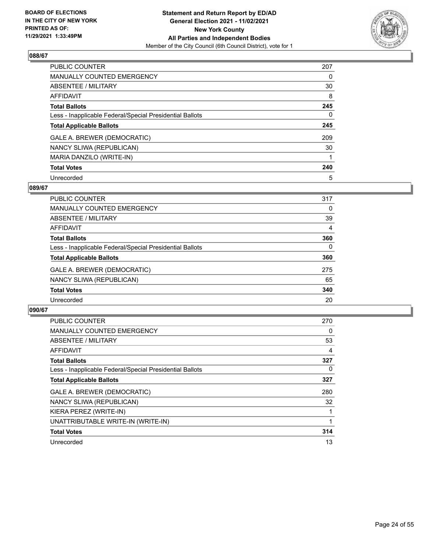

| PUBLIC COUNTER                                           | 207 |
|----------------------------------------------------------|-----|
| MANUALLY COUNTED EMERGENCY                               | 0   |
| ABSENTEE / MILITARY                                      | 30  |
| <b>AFFIDAVIT</b>                                         | 8   |
| <b>Total Ballots</b>                                     | 245 |
| Less - Inapplicable Federal/Special Presidential Ballots | 0   |
| <b>Total Applicable Ballots</b>                          | 245 |
| GALE A. BREWER (DEMOCRATIC)                              | 209 |
| NANCY SLIWA (REPUBLICAN)                                 | 30  |
| MARIA DANZILO (WRITE-IN)                                 |     |
| <b>Total Votes</b>                                       | 240 |
| Unrecorded                                               | 5   |

#### **089/67**

| <b>PUBLIC COUNTER</b>                                    | 317      |
|----------------------------------------------------------|----------|
| MANUALLY COUNTED EMERGENCY                               | 0        |
| ABSENTEE / MILITARY                                      | 39       |
| AFFIDAVIT                                                | 4        |
| <b>Total Ballots</b>                                     | 360      |
| Less - Inapplicable Federal/Special Presidential Ballots | $\Omega$ |
| <b>Total Applicable Ballots</b>                          | 360      |
| GALE A. BREWER (DEMOCRATIC)                              | 275      |
| NANCY SLIWA (REPUBLICAN)                                 | 65       |
| <b>Total Votes</b>                                       | 340      |
| Unrecorded                                               | 20       |

| <b>PUBLIC COUNTER</b>                                    | 270 |
|----------------------------------------------------------|-----|
| <b>MANUALLY COUNTED EMERGENCY</b>                        | 0   |
| ABSENTEE / MILITARY                                      | 53  |
| <b>AFFIDAVIT</b>                                         | 4   |
| <b>Total Ballots</b>                                     | 327 |
| Less - Inapplicable Federal/Special Presidential Ballots | 0   |
| <b>Total Applicable Ballots</b>                          | 327 |
| GALE A. BREWER (DEMOCRATIC)                              | 280 |
| NANCY SLIWA (REPUBLICAN)                                 | 32  |
| KIERA PEREZ (WRITE-IN)                                   |     |
| UNATTRIBUTABLE WRITE-IN (WRITE-IN)                       |     |
| <b>Total Votes</b>                                       | 314 |
| Unrecorded                                               | 13  |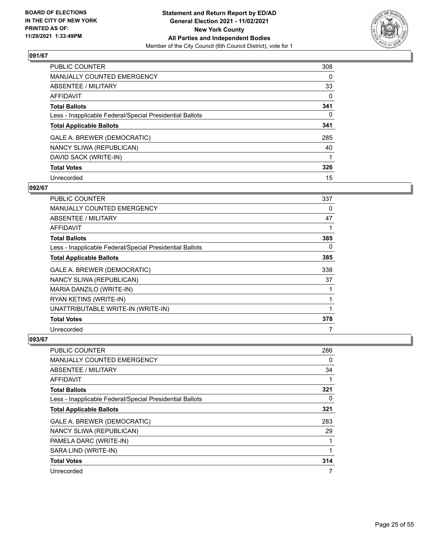

| <b>PUBLIC COUNTER</b>                                    | 308      |
|----------------------------------------------------------|----------|
| <b>MANUALLY COUNTED EMERGENCY</b>                        | 0        |
| ABSENTEE / MILITARY                                      | 33       |
| AFFIDAVIT                                                | $\Omega$ |
| <b>Total Ballots</b>                                     | 341      |
| Less - Inapplicable Federal/Special Presidential Ballots | $\Omega$ |
| <b>Total Applicable Ballots</b>                          | 341      |
| GALE A. BREWER (DEMOCRATIC)                              | 285      |
| NANCY SLIWA (REPUBLICAN)                                 | 40       |
| DAVID SACK (WRITE-IN)                                    |          |
| <b>Total Votes</b>                                       | 326      |
| Unrecorded                                               | 15       |

#### **092/67**

| PUBLIC COUNTER                                           | 337 |
|----------------------------------------------------------|-----|
| <b>MANUALLY COUNTED EMERGENCY</b>                        | 0   |
| ABSENTEE / MILITARY                                      | 47  |
| AFFIDAVIT                                                | 1   |
| <b>Total Ballots</b>                                     | 385 |
| Less - Inapplicable Federal/Special Presidential Ballots | 0   |
| <b>Total Applicable Ballots</b>                          | 385 |
| GALE A. BREWER (DEMOCRATIC)                              | 338 |
| NANCY SLIWA (REPUBLICAN)                                 | 37  |
| MARIA DANZILO (WRITE-IN)                                 | 1   |
| RYAN KETINS (WRITE-IN)                                   | 1   |
| UNATTRIBUTABLE WRITE-IN (WRITE-IN)                       | 1   |
| <b>Total Votes</b>                                       | 378 |
| Unrecorded                                               | 7   |

| PUBLIC COUNTER                                           | 286 |
|----------------------------------------------------------|-----|
| MANUALLY COUNTED EMERGENCY                               | 0   |
| ABSENTEE / MILITARY                                      | 34  |
| AFFIDAVIT                                                |     |
| <b>Total Ballots</b>                                     | 321 |
| Less - Inapplicable Federal/Special Presidential Ballots | 0   |
| <b>Total Applicable Ballots</b>                          | 321 |
| GALE A. BREWER (DEMOCRATIC)                              | 283 |
| NANCY SLIWA (REPUBLICAN)                                 | 29  |
| PAMELA DARC (WRITE-IN)                                   |     |
| SARA LIND (WRITE-IN)                                     |     |
| <b>Total Votes</b>                                       | 314 |
| Unrecorded                                               | 7   |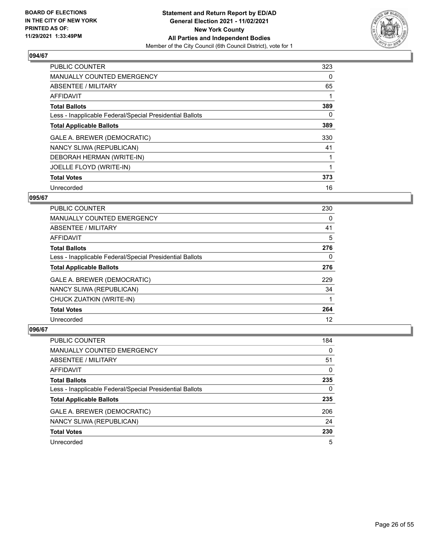

| <b>PUBLIC COUNTER</b>                                    | 323 |
|----------------------------------------------------------|-----|
| <b>MANUALLY COUNTED EMERGENCY</b>                        | 0   |
| ABSENTEE / MILITARY                                      | 65  |
| AFFIDAVIT                                                |     |
| <b>Total Ballots</b>                                     | 389 |
| Less - Inapplicable Federal/Special Presidential Ballots | 0   |
| <b>Total Applicable Ballots</b>                          | 389 |
| GALE A. BREWER (DEMOCRATIC)                              | 330 |
| NANCY SLIWA (REPUBLICAN)                                 | 41  |
| DEBORAH HERMAN (WRITE-IN)                                |     |
| JOELLE FLOYD (WRITE-IN)                                  |     |
| <b>Total Votes</b>                                       | 373 |
| Unrecorded                                               | 16  |

# **095/67**

| <b>PUBLIC COUNTER</b>                                    | 230 |
|----------------------------------------------------------|-----|
| <b>MANUALLY COUNTED EMERGENCY</b>                        | 0   |
| ABSENTEE / MILITARY                                      | 41  |
| <b>AFFIDAVIT</b>                                         | 5   |
| <b>Total Ballots</b>                                     | 276 |
| Less - Inapplicable Federal/Special Presidential Ballots | 0   |
| <b>Total Applicable Ballots</b>                          | 276 |
| GALE A. BREWER (DEMOCRATIC)                              | 229 |
| NANCY SLIWA (REPUBLICAN)                                 | 34  |
| CHUCK ZUATKIN (WRITE-IN)                                 |     |
| <b>Total Votes</b>                                       | 264 |
| Unrecorded                                               | 12  |

| PUBLIC COUNTER                                           | 184      |
|----------------------------------------------------------|----------|
| MANUALLY COUNTED EMERGENCY                               | 0        |
| ABSENTEE / MILITARY                                      | 51       |
| AFFIDAVIT                                                | 0        |
| <b>Total Ballots</b>                                     | 235      |
| Less - Inapplicable Federal/Special Presidential Ballots | $\Omega$ |
| <b>Total Applicable Ballots</b>                          | 235      |
| GALE A. BREWER (DEMOCRATIC)                              | 206      |
| NANCY SLIWA (REPUBLICAN)                                 | 24       |
| <b>Total Votes</b>                                       | 230      |
| Unrecorded                                               | 5        |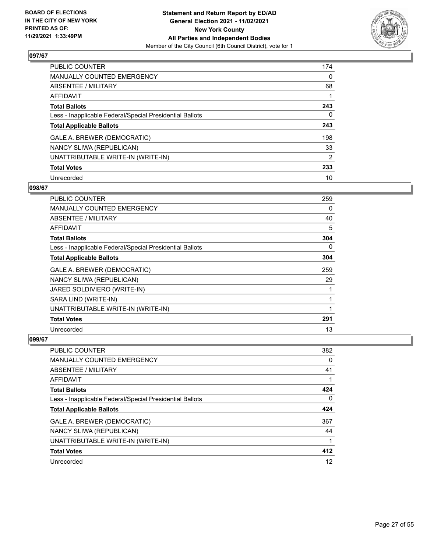

| PUBLIC COUNTER                                           | 174            |
|----------------------------------------------------------|----------------|
| MANUALLY COUNTED EMERGENCY                               | 0              |
| ABSENTEE / MILITARY                                      | 68             |
| AFFIDAVIT                                                |                |
| <b>Total Ballots</b>                                     | 243            |
| Less - Inapplicable Federal/Special Presidential Ballots | $\Omega$       |
| <b>Total Applicable Ballots</b>                          | 243            |
| GALE A. BREWER (DEMOCRATIC)                              | 198            |
| NANCY SLIWA (REPUBLICAN)                                 | 33             |
| UNATTRIBUTABLE WRITE-IN (WRITE-IN)                       | $\overline{2}$ |
| <b>Total Votes</b>                                       | 233            |
| Unrecorded                                               | 10             |

#### **098/67**

| <b>PUBLIC COUNTER</b>                                    | 259 |
|----------------------------------------------------------|-----|
| MANUALLY COUNTED EMERGENCY                               | 0   |
| ABSENTEE / MILITARY                                      | 40  |
| AFFIDAVIT                                                | 5   |
| <b>Total Ballots</b>                                     | 304 |
| Less - Inapplicable Federal/Special Presidential Ballots | 0   |
| <b>Total Applicable Ballots</b>                          | 304 |
| GALE A. BREWER (DEMOCRATIC)                              | 259 |
| NANCY SLIWA (REPUBLICAN)                                 | 29  |
| JARED SOLDIVIERO (WRITE-IN)                              |     |
| SARA LIND (WRITE-IN)                                     | 1   |
| UNATTRIBUTABLE WRITE-IN (WRITE-IN)                       |     |
| <b>Total Votes</b>                                       | 291 |
| Unrecorded                                               | 13  |

| PUBLIC COUNTER                                           | 382 |
|----------------------------------------------------------|-----|
| MANUALLY COUNTED EMERGENCY                               | 0   |
| ABSENTEE / MILITARY                                      | 41  |
| AFFIDAVIT                                                |     |
| <b>Total Ballots</b>                                     | 424 |
| Less - Inapplicable Federal/Special Presidential Ballots | 0   |
| <b>Total Applicable Ballots</b>                          | 424 |
| GALE A. BREWER (DEMOCRATIC)                              | 367 |
| NANCY SLIWA (REPUBLICAN)                                 | 44  |
| UNATTRIBUTABLE WRITE-IN (WRITE-IN)                       |     |
| <b>Total Votes</b>                                       | 412 |
| Unrecorded                                               | 12  |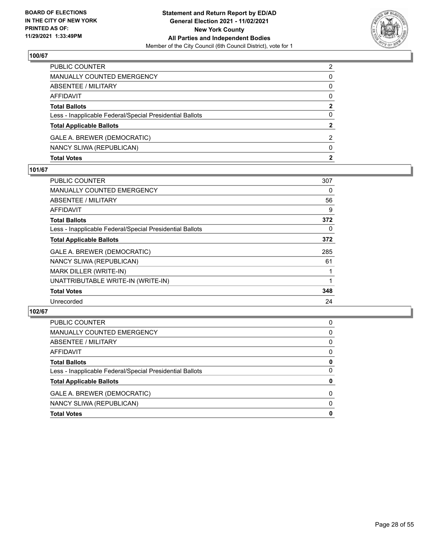

| <b>Total Votes</b>                                       | $\mathbf{2}$  |
|----------------------------------------------------------|---------------|
| NANCY SLIWA (REPUBLICAN)                                 | $\Omega$      |
| GALE A. BREWER (DEMOCRATIC)                              | 2             |
| <b>Total Applicable Ballots</b>                          | $\mathbf{2}$  |
| Less - Inapplicable Federal/Special Presidential Ballots | 0             |
| <b>Total Ballots</b>                                     | 2             |
| AFFIDAVIT                                                | $\Omega$      |
| ABSENTEE / MILITARY                                      | 0             |
| <b>MANUALLY COUNTED EMERGENCY</b>                        | 0             |
| PUBLIC COUNTER                                           | $\mathcal{P}$ |

#### **101/67**

| <b>PUBLIC COUNTER</b>                                    | 307      |
|----------------------------------------------------------|----------|
| MANUALLY COUNTED EMERGENCY                               | 0        |
| ABSENTEE / MILITARY                                      | 56       |
| AFFIDAVIT                                                | 9        |
| <b>Total Ballots</b>                                     | 372      |
| Less - Inapplicable Federal/Special Presidential Ballots | $\Omega$ |
| <b>Total Applicable Ballots</b>                          | 372      |
| GALE A. BREWER (DEMOCRATIC)                              | 285      |
| NANCY SLIWA (REPUBLICAN)                                 | 61       |
| MARK DILLER (WRITE-IN)                                   |          |
| UNATTRIBUTABLE WRITE-IN (WRITE-IN)                       |          |
| <b>Total Votes</b>                                       | 348      |
| Unrecorded                                               | 24       |
|                                                          |          |

| <b>Total Votes</b>                                       | 0        |
|----------------------------------------------------------|----------|
| NANCY SLIWA (REPUBLICAN)                                 | 0        |
| GALE A. BREWER (DEMOCRATIC)                              | 0        |
| <b>Total Applicable Ballots</b>                          | 0        |
| Less - Inapplicable Federal/Special Presidential Ballots | $\Omega$ |
| <b>Total Ballots</b>                                     | 0        |
| AFFIDAVIT                                                | 0        |
| ABSENTEE / MILITARY                                      | 0        |
| MANUALLY COUNTED EMERGENCY                               | 0        |
| <b>PUBLIC COUNTER</b>                                    | 0        |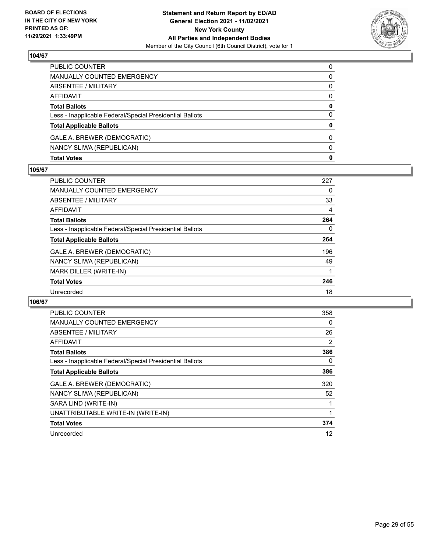

| <b>Total Votes</b>                                       | 0        |
|----------------------------------------------------------|----------|
| NANCY SLIWA (REPUBLICAN)                                 | $\Omega$ |
| GALE A. BREWER (DEMOCRATIC)                              | $\Omega$ |
| <b>Total Applicable Ballots</b>                          | 0        |
| Less - Inapplicable Federal/Special Presidential Ballots | 0        |
| <b>Total Ballots</b>                                     | 0        |
| AFFIDAVIT                                                | $\Omega$ |
| <b>ABSENTEE / MILITARY</b>                               | 0        |
| <b>MANUALLY COUNTED EMERGENCY</b>                        | 0        |
| PUBLIC COUNTER                                           | $\Omega$ |

#### **105/67**

| <b>PUBLIC COUNTER</b>                                    | 227 |
|----------------------------------------------------------|-----|
| <b>MANUALLY COUNTED EMERGENCY</b>                        | 0   |
| ABSENTEE / MILITARY                                      | 33  |
| AFFIDAVIT                                                | 4   |
| <b>Total Ballots</b>                                     | 264 |
| Less - Inapplicable Federal/Special Presidential Ballots | 0   |
| <b>Total Applicable Ballots</b>                          | 264 |
| GALE A. BREWER (DEMOCRATIC)                              | 196 |
| NANCY SLIWA (REPUBLICAN)                                 | 49  |
| MARK DILLER (WRITE-IN)                                   |     |
| <b>Total Votes</b>                                       | 246 |
| Unrecorded                                               | 18  |

| <b>PUBLIC COUNTER</b>                                    | 358      |
|----------------------------------------------------------|----------|
| <b>MANUALLY COUNTED EMERGENCY</b>                        | 0        |
| ABSENTEE / MILITARY                                      | 26       |
| <b>AFFIDAVIT</b>                                         | 2        |
| <b>Total Ballots</b>                                     | 386      |
| Less - Inapplicable Federal/Special Presidential Ballots | $\Omega$ |
| <b>Total Applicable Ballots</b>                          | 386      |
| GALE A. BREWER (DEMOCRATIC)                              | 320      |
| NANCY SLIWA (REPUBLICAN)                                 | 52       |
| SARA LIND (WRITE-IN)                                     |          |
| UNATTRIBUTABLE WRITE-IN (WRITE-IN)                       |          |
| <b>Total Votes</b>                                       | 374      |
| Unrecorded                                               | 12       |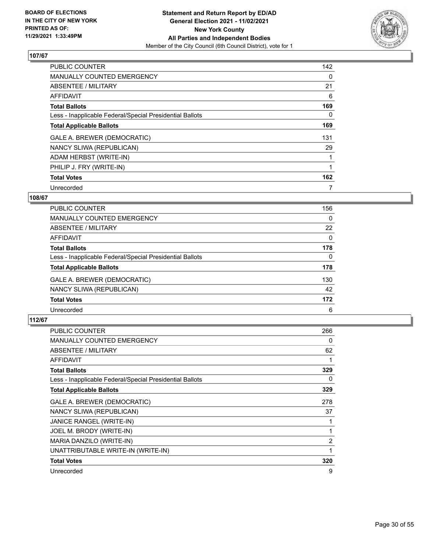

| <b>PUBLIC COUNTER</b>                                    | 142 |
|----------------------------------------------------------|-----|
| MANUALLY COUNTED EMERGENCY                               | 0   |
| ABSENTEE / MILITARY                                      | 21  |
| AFFIDAVIT                                                | 6   |
| <b>Total Ballots</b>                                     | 169 |
| Less - Inapplicable Federal/Special Presidential Ballots | 0   |
| <b>Total Applicable Ballots</b>                          | 169 |
| GALE A. BREWER (DEMOCRATIC)                              | 131 |
| NANCY SLIWA (REPUBLICAN)                                 | 29  |
| ADAM HERBST (WRITE-IN)                                   |     |
| PHILIP J. FRY (WRITE-IN)                                 |     |
| <b>Total Votes</b>                                       | 162 |
| Unrecorded                                               |     |

# **108/67**

| PUBLIC COUNTER                                           | 156      |
|----------------------------------------------------------|----------|
| <b>MANUALLY COUNTED EMERGENCY</b>                        | $\Omega$ |
| ABSENTEE / MILITARY                                      | 22       |
| <b>AFFIDAVIT</b>                                         | $\Omega$ |
| <b>Total Ballots</b>                                     | 178      |
| Less - Inapplicable Federal/Special Presidential Ballots | 0        |
| <b>Total Applicable Ballots</b>                          | 178      |
| GALE A. BREWER (DEMOCRATIC)                              | 130      |
| NANCY SLIWA (REPUBLICAN)                                 | 42       |
| <b>Total Votes</b>                                       | 172      |
| Unrecorded                                               | 6        |

| <b>PUBLIC COUNTER</b>                                    | 266            |
|----------------------------------------------------------|----------------|
| MANUALLY COUNTED EMERGENCY                               | 0              |
| ABSENTEE / MILITARY                                      | 62             |
| <b>AFFIDAVIT</b>                                         | 1              |
| <b>Total Ballots</b>                                     | 329            |
| Less - Inapplicable Federal/Special Presidential Ballots | 0              |
| <b>Total Applicable Ballots</b>                          | 329            |
| GALE A. BREWER (DEMOCRATIC)                              | 278            |
| NANCY SLIWA (REPUBLICAN)                                 | 37             |
| JANICE RANGEL (WRITE-IN)                                 | 1              |
| JOEL M. BRODY (WRITE-IN)                                 | 1              |
| MARIA DANZILO (WRITE-IN)                                 | $\overline{2}$ |
| UNATTRIBUTABLE WRITE-IN (WRITE-IN)                       | 1              |
| <b>Total Votes</b>                                       | 320            |
| Unrecorded                                               | 9              |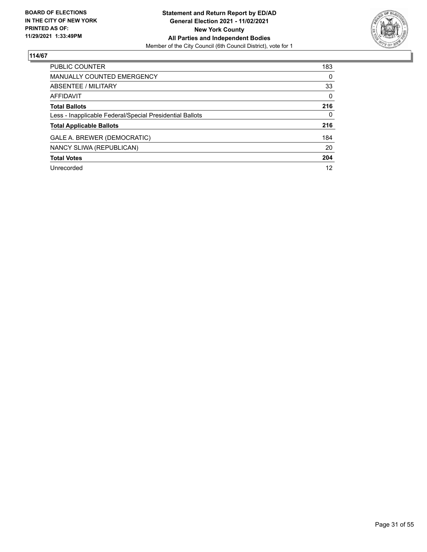

| PUBLIC COUNTER                                           | 183      |
|----------------------------------------------------------|----------|
| <b>MANUALLY COUNTED EMERGENCY</b>                        | $\Omega$ |
| ABSENTEE / MILITARY                                      | 33       |
| <b>AFFIDAVIT</b>                                         | $\Omega$ |
| <b>Total Ballots</b>                                     | 216      |
| Less - Inapplicable Federal/Special Presidential Ballots | $\Omega$ |
| <b>Total Applicable Ballots</b>                          | 216      |
| GALE A. BREWER (DEMOCRATIC)                              | 184      |
| NANCY SLIWA (REPUBLICAN)                                 | 20       |
| <b>Total Votes</b>                                       | 204      |
| Unrecorded                                               | 12       |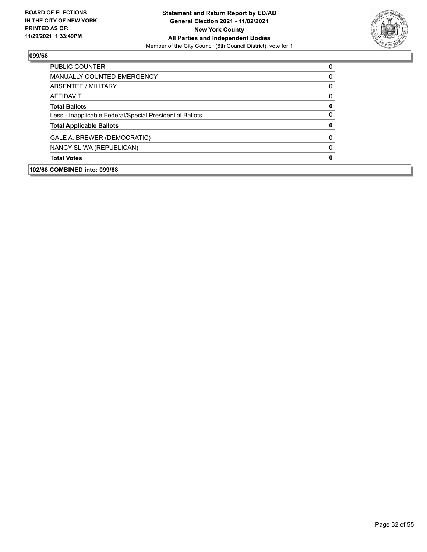

| <b>PUBLIC COUNTER</b>                                    | 0        |
|----------------------------------------------------------|----------|
| MANUALLY COUNTED EMERGENCY                               | 0        |
| ABSENTEE / MILITARY                                      | 0        |
| AFFIDAVIT                                                | 0        |
| <b>Total Ballots</b>                                     | 0        |
| Less - Inapplicable Federal/Special Presidential Ballots | 0        |
| <b>Total Applicable Ballots</b>                          | 0        |
| GALE A. BREWER (DEMOCRATIC)                              | $\Omega$ |
| NANCY SLIWA (REPUBLICAN)                                 | 0        |
| <b>Total Votes</b>                                       | 0        |
| 102/68 COMBINED into: 099/68                             |          |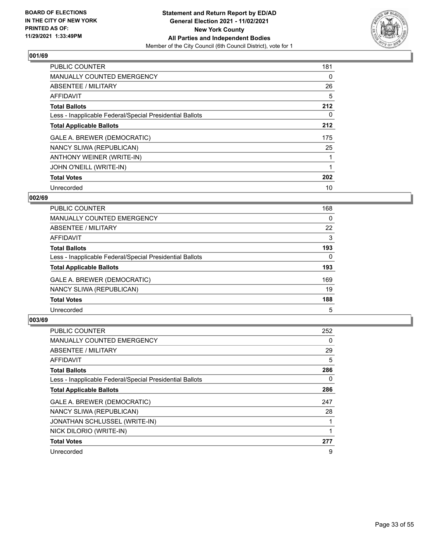

| PUBLIC COUNTER                                           | 181 |
|----------------------------------------------------------|-----|
| <b>MANUALLY COUNTED EMERGENCY</b>                        | 0   |
| ABSENTEE / MILITARY                                      | 26  |
| AFFIDAVIT                                                | 5   |
| <b>Total Ballots</b>                                     | 212 |
| Less - Inapplicable Federal/Special Presidential Ballots | 0   |
| <b>Total Applicable Ballots</b>                          | 212 |
| GALE A. BREWER (DEMOCRATIC)                              | 175 |
| NANCY SLIWA (REPUBLICAN)                                 | 25  |
| ANTHONY WEINER (WRITE-IN)                                | 1   |
| JOHN O'NEILL (WRITE-IN)                                  |     |
| <b>Total Votes</b>                                       | 202 |
| Unrecorded                                               | 10  |

# **002/69**

| <b>PUBLIC COUNTER</b>                                    | 168      |
|----------------------------------------------------------|----------|
| MANUALLY COUNTED EMERGENCY                               | $\Omega$ |
| ABSENTEE / MILITARY                                      | 22       |
| AFFIDAVIT                                                | 3        |
| <b>Total Ballots</b>                                     | 193      |
| Less - Inapplicable Federal/Special Presidential Ballots | 0        |
| <b>Total Applicable Ballots</b>                          | 193      |
| GALE A. BREWER (DEMOCRATIC)                              | 169      |
| NANCY SLIWA (REPUBLICAN)                                 | 19       |
| <b>Total Votes</b>                                       | 188      |
| Unrecorded                                               | 5        |

| <b>PUBLIC COUNTER</b>                                    | 252 |
|----------------------------------------------------------|-----|
| MANUALLY COUNTED EMERGENCY                               | 0   |
| ABSENTEE / MILITARY                                      | 29  |
| AFFIDAVIT                                                | 5   |
| <b>Total Ballots</b>                                     | 286 |
| Less - Inapplicable Federal/Special Presidential Ballots | 0   |
| <b>Total Applicable Ballots</b>                          | 286 |
| GALE A. BREWER (DEMOCRATIC)                              | 247 |
| NANCY SLIWA (REPUBLICAN)                                 | 28  |
| JONATHAN SCHLUSSEL (WRITE-IN)                            |     |
| NICK DILORIO (WRITE-IN)                                  |     |
| <b>Total Votes</b>                                       | 277 |
| Unrecorded                                               | 9   |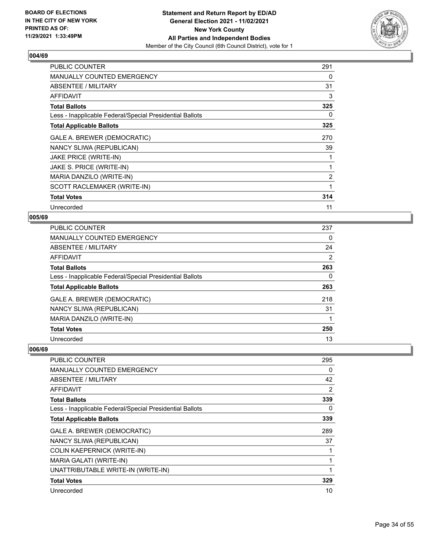

| <b>PUBLIC COUNTER</b>                                    | 291            |
|----------------------------------------------------------|----------------|
| <b>MANUALLY COUNTED EMERGENCY</b>                        | 0              |
| ABSENTEE / MILITARY                                      | 31             |
| AFFIDAVIT                                                | 3              |
| <b>Total Ballots</b>                                     | 325            |
| Less - Inapplicable Federal/Special Presidential Ballots | 0              |
| <b>Total Applicable Ballots</b>                          | 325            |
| GALE A. BREWER (DEMOCRATIC)                              | 270            |
| NANCY SLIWA (REPUBLICAN)                                 | 39             |
| JAKE PRICE (WRITE-IN)                                    |                |
| JAKE S. PRICE (WRITE-IN)                                 |                |
| MARIA DANZILO (WRITE-IN)                                 | $\overline{2}$ |
| SCOTT RACLEMAKER (WRITE-IN)                              |                |
| <b>Total Votes</b>                                       | 314            |
| Unrecorded                                               | 11             |

## **005/69**

| PUBLIC COUNTER                                           | 237 |
|----------------------------------------------------------|-----|
| <b>MANUALLY COUNTED EMERGENCY</b>                        | 0   |
| ABSENTEE / MILITARY                                      | 24  |
| AFFIDAVIT                                                | 2   |
| <b>Total Ballots</b>                                     | 263 |
| Less - Inapplicable Federal/Special Presidential Ballots | 0   |
| <b>Total Applicable Ballots</b>                          | 263 |
| GALE A. BREWER (DEMOCRATIC)                              | 218 |
| NANCY SLIWA (REPUBLICAN)                                 | 31  |
| MARIA DANZILO (WRITE-IN)                                 |     |
| <b>Total Votes</b>                                       | 250 |
| Unrecorded                                               | 13  |

| <b>PUBLIC COUNTER</b>                                    | 295 |
|----------------------------------------------------------|-----|
| <b>MANUALLY COUNTED EMERGENCY</b>                        | 0   |
| ABSENTEE / MILITARY                                      | 42  |
| AFFIDAVIT                                                | 2   |
| <b>Total Ballots</b>                                     | 339 |
| Less - Inapplicable Federal/Special Presidential Ballots | 0   |
| <b>Total Applicable Ballots</b>                          | 339 |
| GALE A. BREWER (DEMOCRATIC)                              | 289 |
| NANCY SLIWA (REPUBLICAN)                                 | 37  |
| <b>COLIN KAEPERNICK (WRITE-IN)</b>                       |     |
| MARIA GALATI (WRITE-IN)                                  |     |
| UNATTRIBUTABLE WRITE-IN (WRITE-IN)                       |     |
| <b>Total Votes</b>                                       | 329 |
| Unrecorded                                               | 10  |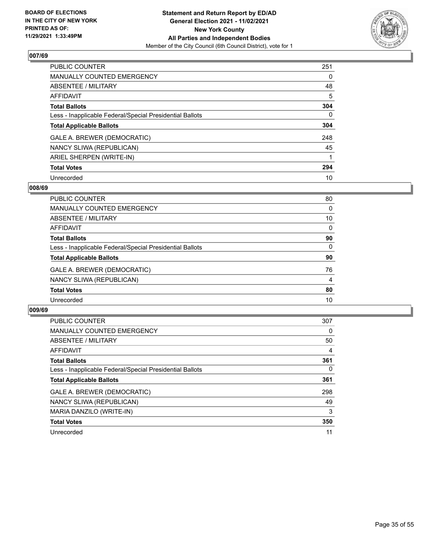

| <b>PUBLIC COUNTER</b>                                    | 251      |
|----------------------------------------------------------|----------|
| <b>MANUALLY COUNTED EMERGENCY</b>                        | 0        |
| ABSENTEE / MILITARY                                      | 48       |
| <b>AFFIDAVIT</b>                                         | 5        |
| <b>Total Ballots</b>                                     | 304      |
| Less - Inapplicable Federal/Special Presidential Ballots | $\Omega$ |
| <b>Total Applicable Ballots</b>                          | 304      |
| GALE A. BREWER (DEMOCRATIC)                              | 248      |
| NANCY SLIWA (REPUBLICAN)                                 | 45       |
| ARIEL SHERPEN (WRITE-IN)                                 |          |
| <b>Total Votes</b>                                       | 294      |
| Unrecorded                                               | 10       |

#### **008/69**

| <b>PUBLIC COUNTER</b>                                    | 80       |
|----------------------------------------------------------|----------|
| <b>MANUALLY COUNTED EMERGENCY</b>                        | 0        |
| ABSENTEE / MILITARY                                      | 10       |
| AFFIDAVIT                                                | $\Omega$ |
| <b>Total Ballots</b>                                     | 90       |
| Less - Inapplicable Federal/Special Presidential Ballots | $\Omega$ |
| <b>Total Applicable Ballots</b>                          | 90       |
| GALE A. BREWER (DEMOCRATIC)                              | 76       |
| NANCY SLIWA (REPUBLICAN)                                 | 4        |
| <b>Total Votes</b>                                       | 80       |
| Unrecorded                                               | 10       |

| <b>PUBLIC COUNTER</b>                                    | 307      |
|----------------------------------------------------------|----------|
| MANUALLY COUNTED EMERGENCY                               | $\Omega$ |
| ABSENTEE / MILITARY                                      | 50       |
| AFFIDAVIT                                                | 4        |
| <b>Total Ballots</b>                                     | 361      |
| Less - Inapplicable Federal/Special Presidential Ballots | $\Omega$ |
| <b>Total Applicable Ballots</b>                          | 361      |
| GALE A. BREWER (DEMOCRATIC)                              | 298      |
| NANCY SLIWA (REPUBLICAN)                                 | 49       |
| MARIA DANZILO (WRITE-IN)                                 | 3        |
| <b>Total Votes</b>                                       | 350      |
| Unrecorded                                               | 11       |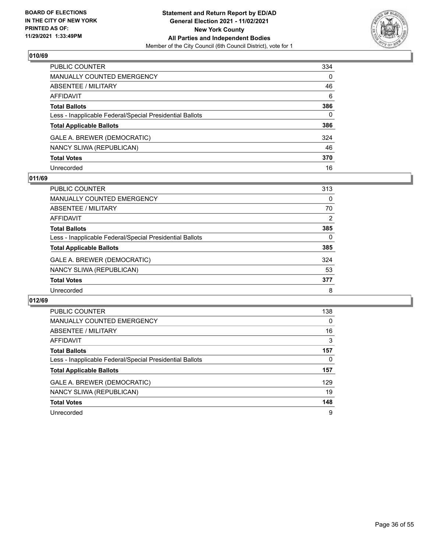

| PUBLIC COUNTER                                           | 334      |
|----------------------------------------------------------|----------|
| MANUALLY COUNTED EMERGENCY                               | 0        |
| ABSENTEE / MILITARY                                      | 46       |
| AFFIDAVIT                                                | 6        |
| <b>Total Ballots</b>                                     | 386      |
| Less - Inapplicable Federal/Special Presidential Ballots | $\Omega$ |
| <b>Total Applicable Ballots</b>                          | 386      |
| GALE A. BREWER (DEMOCRATIC)                              | 324      |
| NANCY SLIWA (REPUBLICAN)                                 | 46       |
| <b>Total Votes</b>                                       | 370      |
| Unrecorded                                               | 16       |

#### **011/69**

| PUBLIC COUNTER                                           | 313            |
|----------------------------------------------------------|----------------|
| MANUALLY COUNTED EMERGENCY                               | $\Omega$       |
| ABSENTEE / MILITARY                                      | 70             |
| AFFIDAVIT                                                | $\overline{2}$ |
| <b>Total Ballots</b>                                     | 385            |
| Less - Inapplicable Federal/Special Presidential Ballots | 0              |
| <b>Total Applicable Ballots</b>                          | 385            |
| GALE A. BREWER (DEMOCRATIC)                              | 324            |
| NANCY SLIWA (REPUBLICAN)                                 | 53             |
| <b>Total Votes</b>                                       | 377            |
| Unrecorded                                               | 8              |

| <b>PUBLIC COUNTER</b>                                    | 138      |
|----------------------------------------------------------|----------|
| <b>MANUALLY COUNTED EMERGENCY</b>                        | $\Omega$ |
| ABSENTEE / MILITARY                                      | 16       |
| AFFIDAVIT                                                | 3        |
| <b>Total Ballots</b>                                     | 157      |
| Less - Inapplicable Federal/Special Presidential Ballots | 0        |
| <b>Total Applicable Ballots</b>                          | 157      |
| GALE A. BREWER (DEMOCRATIC)                              | 129      |
| NANCY SLIWA (REPUBLICAN)                                 | 19       |
| <b>Total Votes</b>                                       | 148      |
| Unrecorded                                               | 9        |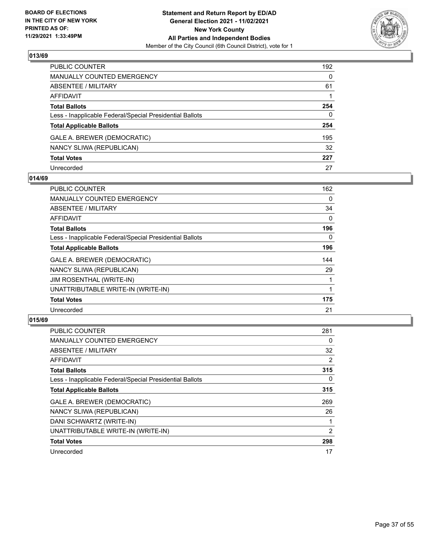

| PUBLIC COUNTER                                           | 192          |
|----------------------------------------------------------|--------------|
| <b>MANUALLY COUNTED EMERGENCY</b>                        | $\Omega$     |
| ABSENTEE / MILITARY                                      | 61           |
| AFFIDAVIT                                                |              |
| <b>Total Ballots</b>                                     | 254          |
| Less - Inapplicable Federal/Special Presidential Ballots | $\mathbf{0}$ |
| <b>Total Applicable Ballots</b>                          | 254          |
| GALE A. BREWER (DEMOCRATIC)                              | 195          |
| NANCY SLIWA (REPUBLICAN)                                 | 32           |
| <b>Total Votes</b>                                       | 227          |
| Unrecorded                                               | 27           |

## **014/69**

| <b>PUBLIC COUNTER</b>                                    | 162 |
|----------------------------------------------------------|-----|
| <b>MANUALLY COUNTED EMERGENCY</b>                        | 0   |
| <b>ABSENTEE / MILITARY</b>                               | 34  |
| <b>AFFIDAVIT</b>                                         | 0   |
| <b>Total Ballots</b>                                     | 196 |
| Less - Inapplicable Federal/Special Presidential Ballots | 0   |
| <b>Total Applicable Ballots</b>                          | 196 |
| GALE A. BREWER (DEMOCRATIC)                              | 144 |
| NANCY SLIWA (REPUBLICAN)                                 | 29  |
| <b>JIM ROSENTHAL (WRITE-IN)</b>                          |     |
| UNATTRIBUTABLE WRITE-IN (WRITE-IN)                       |     |
| <b>Total Votes</b>                                       | 175 |
| Unrecorded                                               | 21  |

| <b>PUBLIC COUNTER</b>                                    | 281 |
|----------------------------------------------------------|-----|
| MANUALLY COUNTED EMERGENCY                               | 0   |
| ABSENTEE / MILITARY                                      | 32  |
| AFFIDAVIT                                                | 2   |
| <b>Total Ballots</b>                                     | 315 |
| Less - Inapplicable Federal/Special Presidential Ballots | 0   |
| <b>Total Applicable Ballots</b>                          | 315 |
| GALE A. BREWER (DEMOCRATIC)                              | 269 |
| NANCY SLIWA (REPUBLICAN)                                 | 26  |
| DANI SCHWARTZ (WRITE-IN)                                 |     |
| UNATTRIBUTABLE WRITE-IN (WRITE-IN)                       | 2   |
| <b>Total Votes</b>                                       | 298 |
| Unrecorded                                               | 17  |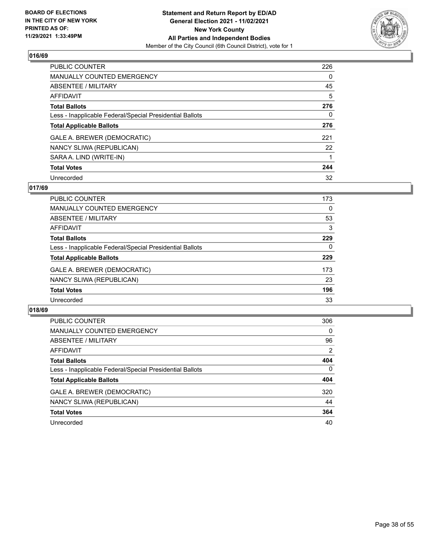

| <b>PUBLIC COUNTER</b>                                    | 226      |
|----------------------------------------------------------|----------|
| <b>MANUALLY COUNTED EMERGENCY</b>                        | $\Omega$ |
| ABSENTEE / MILITARY                                      | 45       |
| AFFIDAVIT                                                | 5        |
| <b>Total Ballots</b>                                     | 276      |
| Less - Inapplicable Federal/Special Presidential Ballots | 0        |
| <b>Total Applicable Ballots</b>                          | 276      |
| GALE A. BREWER (DEMOCRATIC)                              | 221      |
| NANCY SLIWA (REPUBLICAN)                                 | 22       |
| SARA A. LIND (WRITE-IN)                                  |          |
| <b>Total Votes</b>                                       | 244      |
| Unrecorded                                               | 32       |

#### **017/69**

| <b>PUBLIC COUNTER</b>                                    | 173      |
|----------------------------------------------------------|----------|
| MANUALLY COUNTED EMERGENCY                               | $\Omega$ |
| ABSENTEE / MILITARY                                      | 53       |
| <b>AFFIDAVIT</b>                                         | 3        |
| <b>Total Ballots</b>                                     | 229      |
| Less - Inapplicable Federal/Special Presidential Ballots | $\Omega$ |
| <b>Total Applicable Ballots</b>                          | 229      |
| GALE A. BREWER (DEMOCRATIC)                              | 173      |
| NANCY SLIWA (REPUBLICAN)                                 | 23       |
| <b>Total Votes</b>                                       | 196      |
| Unrecorded                                               | 33       |

| <b>PUBLIC COUNTER</b>                                    | 306            |
|----------------------------------------------------------|----------------|
| <b>MANUALLY COUNTED EMERGENCY</b>                        | 0              |
| ABSENTEE / MILITARY                                      | 96             |
| AFFIDAVIT                                                | $\overline{2}$ |
| <b>Total Ballots</b>                                     | 404            |
| Less - Inapplicable Federal/Special Presidential Ballots | $\mathbf{0}$   |
| <b>Total Applicable Ballots</b>                          | 404            |
| GALE A. BREWER (DEMOCRATIC)                              | 320            |
| NANCY SLIWA (REPUBLICAN)                                 | 44             |
| <b>Total Votes</b>                                       | 364            |
| Unrecorded                                               | 40             |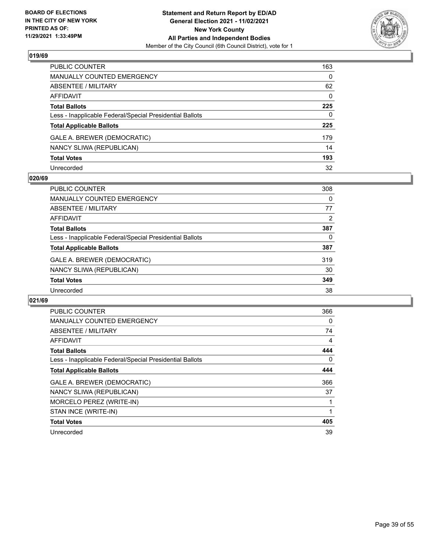

| PUBLIC COUNTER                                           | 163          |
|----------------------------------------------------------|--------------|
| <b>MANUALLY COUNTED EMERGENCY</b>                        | $\Omega$     |
| <b>ABSENTEE / MILITARY</b>                               | 62           |
| <b>AFFIDAVIT</b>                                         | $\Omega$     |
| <b>Total Ballots</b>                                     | 225          |
| Less - Inapplicable Federal/Special Presidential Ballots | $\mathbf{0}$ |
| <b>Total Applicable Ballots</b>                          | 225          |
| GALE A. BREWER (DEMOCRATIC)                              | 179          |
| NANCY SLIWA (REPUBLICAN)                                 | 14           |
| <b>Total Votes</b>                                       | 193          |
| Unrecorded                                               | 32           |

#### **020/69**

| PUBLIC COUNTER                                           | 308 |
|----------------------------------------------------------|-----|
| <b>MANUALLY COUNTED EMERGENCY</b>                        | 0   |
| ABSENTEE / MILITARY                                      | 77  |
| AFFIDAVIT                                                | 2   |
| <b>Total Ballots</b>                                     | 387 |
| Less - Inapplicable Federal/Special Presidential Ballots | 0   |
| <b>Total Applicable Ballots</b>                          | 387 |
| GALE A. BREWER (DEMOCRATIC)                              | 319 |
| NANCY SLIWA (REPUBLICAN)                                 | 30  |
| <b>Total Votes</b>                                       | 349 |
| Unrecorded                                               | 38  |

| <b>PUBLIC COUNTER</b>                                    | 366      |
|----------------------------------------------------------|----------|
| <b>MANUALLY COUNTED EMERGENCY</b>                        | 0        |
| ABSENTEE / MILITARY                                      | 74       |
| AFFIDAVIT                                                | 4        |
| <b>Total Ballots</b>                                     | 444      |
| Less - Inapplicable Federal/Special Presidential Ballots | $\Omega$ |
| <b>Total Applicable Ballots</b>                          | 444      |
| GALE A. BREWER (DEMOCRATIC)                              | 366      |
| NANCY SLIWA (REPUBLICAN)                                 | 37       |
| MORCELO PEREZ (WRITE-IN)                                 |          |
| STAN INCE (WRITE-IN)                                     |          |
| <b>Total Votes</b>                                       | 405      |
| Unrecorded                                               | 39       |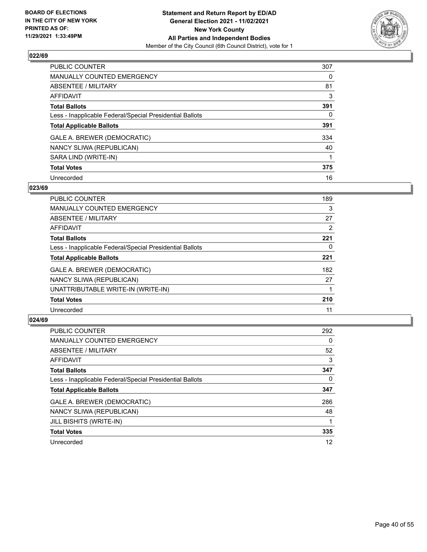

| <b>PUBLIC COUNTER</b>                                    | 307      |
|----------------------------------------------------------|----------|
| <b>MANUALLY COUNTED EMERGENCY</b>                        | $\Omega$ |
| <b>ABSENTEE / MILITARY</b>                               | 81       |
| AFFIDAVIT                                                | 3        |
| <b>Total Ballots</b>                                     | 391      |
| Less - Inapplicable Federal/Special Presidential Ballots | 0        |
| <b>Total Applicable Ballots</b>                          | 391      |
| GALE A. BREWER (DEMOCRATIC)                              | 334      |
| NANCY SLIWA (REPUBLICAN)                                 | 40       |
| SARA LIND (WRITE-IN)                                     |          |
| <b>Total Votes</b>                                       | 375      |
| Unrecorded                                               | 16       |

#### **023/69**

| <b>PUBLIC COUNTER</b>                                    | 189 |
|----------------------------------------------------------|-----|
| <b>MANUALLY COUNTED EMERGENCY</b>                        | 3   |
| ABSENTEE / MILITARY                                      | 27  |
| <b>AFFIDAVIT</b>                                         | 2   |
| <b>Total Ballots</b>                                     | 221 |
| Less - Inapplicable Federal/Special Presidential Ballots | 0   |
| <b>Total Applicable Ballots</b>                          | 221 |
| GALE A. BREWER (DEMOCRATIC)                              | 182 |
| NANCY SLIWA (REPUBLICAN)                                 | 27  |
| UNATTRIBUTABLE WRITE-IN (WRITE-IN)                       |     |
| <b>Total Votes</b>                                       | 210 |
| Unrecorded                                               | 11  |

| <b>PUBLIC COUNTER</b>                                    | 292      |
|----------------------------------------------------------|----------|
| <b>MANUALLY COUNTED EMERGENCY</b>                        | $\Omega$ |
| ABSENTEE / MILITARY                                      | 52       |
| AFFIDAVIT                                                | 3        |
| <b>Total Ballots</b>                                     | 347      |
| Less - Inapplicable Federal/Special Presidential Ballots | 0        |
| <b>Total Applicable Ballots</b>                          | 347      |
| GALE A. BREWER (DEMOCRATIC)                              | 286      |
| NANCY SLIWA (REPUBLICAN)                                 | 48       |
| JILL BISHITS (WRITE-IN)                                  |          |
| <b>Total Votes</b>                                       | 335      |
| Unrecorded                                               | 12       |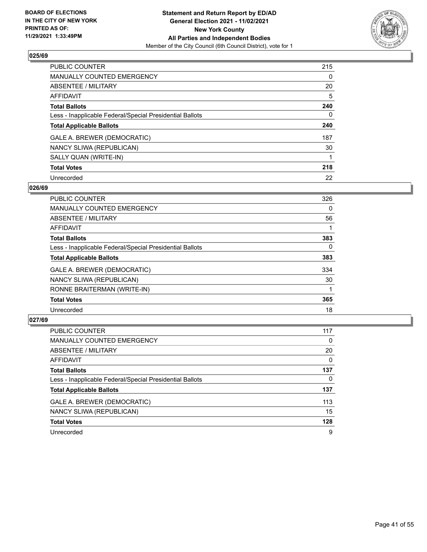

| <b>PUBLIC COUNTER</b>                                    | 215      |
|----------------------------------------------------------|----------|
| <b>MANUALLY COUNTED EMERGENCY</b>                        | $\Omega$ |
| ABSENTEE / MILITARY                                      | 20       |
| AFFIDAVIT                                                | 5        |
| <b>Total Ballots</b>                                     | 240      |
| Less - Inapplicable Federal/Special Presidential Ballots | 0        |
| <b>Total Applicable Ballots</b>                          | 240      |
| GALE A. BREWER (DEMOCRATIC)                              | 187      |
| NANCY SLIWA (REPUBLICAN)                                 | 30       |
| SALLY QUAN (WRITE-IN)                                    |          |
| <b>Total Votes</b>                                       | 218      |
| Unrecorded                                               | 22       |

#### **026/69**

| PUBLIC COUNTER                                           | 326      |
|----------------------------------------------------------|----------|
| MANUALLY COUNTED EMERGENCY                               | 0        |
| ABSENTEE / MILITARY                                      | 56       |
| <b>AFFIDAVIT</b>                                         |          |
| <b>Total Ballots</b>                                     | 383      |
| Less - Inapplicable Federal/Special Presidential Ballots | $\Omega$ |
| <b>Total Applicable Ballots</b>                          | 383      |
| GALE A. BREWER (DEMOCRATIC)                              | 334      |
| NANCY SLIWA (REPUBLICAN)                                 | 30       |
| RONNE BRAITERMAN (WRITE-IN)                              |          |
| <b>Total Votes</b>                                       | 365      |
| Unrecorded                                               | 18       |

| PUBLIC COUNTER                                           | 117      |
|----------------------------------------------------------|----------|
| MANUALLY COUNTED EMERGENCY                               | 0        |
| ABSENTEE / MILITARY                                      | 20       |
| AFFIDAVIT                                                | $\Omega$ |
| <b>Total Ballots</b>                                     | 137      |
| Less - Inapplicable Federal/Special Presidential Ballots | $\Omega$ |
| <b>Total Applicable Ballots</b>                          | 137      |
| GALE A. BREWER (DEMOCRATIC)                              | 113      |
| NANCY SLIWA (REPUBLICAN)                                 | 15       |
| <b>Total Votes</b>                                       | 128      |
| Unrecorded                                               | 9        |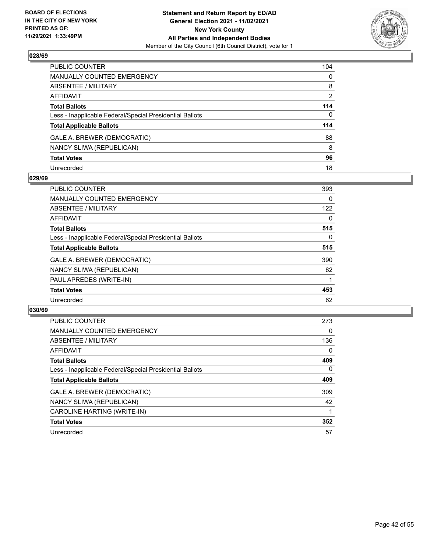

| PUBLIC COUNTER                                           | 104            |
|----------------------------------------------------------|----------------|
| MANUALLY COUNTED EMERGENCY                               | $\mathbf{0}$   |
| ABSENTEE / MILITARY                                      | 8              |
| <b>AFFIDAVIT</b>                                         | $\overline{2}$ |
| <b>Total Ballots</b>                                     | 114            |
| Less - Inapplicable Federal/Special Presidential Ballots | $\mathbf{0}$   |
| <b>Total Applicable Ballots</b>                          | 114            |
| GALE A. BREWER (DEMOCRATIC)                              | 88             |
| NANCY SLIWA (REPUBLICAN)                                 | 8              |
| <b>Total Votes</b>                                       | 96             |
| Unrecorded                                               | 18             |

#### **029/69**

| <b>PUBLIC COUNTER</b>                                    | 393      |
|----------------------------------------------------------|----------|
| <b>MANUALLY COUNTED EMERGENCY</b>                        | 0        |
| ABSENTEE / MILITARY                                      | 122      |
| <b>AFFIDAVIT</b>                                         | $\Omega$ |
| <b>Total Ballots</b>                                     | 515      |
| Less - Inapplicable Federal/Special Presidential Ballots | $\Omega$ |
| <b>Total Applicable Ballots</b>                          | 515      |
| GALE A. BREWER (DEMOCRATIC)                              | 390      |
| NANCY SLIWA (REPUBLICAN)                                 | 62       |
| PAUL APREDES (WRITE-IN)                                  |          |
| <b>Total Votes</b>                                       | 453      |
| Unrecorded                                               | 62       |

| <b>PUBLIC COUNTER</b>                                    | 273      |
|----------------------------------------------------------|----------|
| MANUALLY COUNTED EMERGENCY                               | $\Omega$ |
| ABSENTEE / MILITARY                                      | 136      |
| AFFIDAVIT                                                | $\Omega$ |
| <b>Total Ballots</b>                                     | 409      |
| Less - Inapplicable Federal/Special Presidential Ballots | $\Omega$ |
| <b>Total Applicable Ballots</b>                          | 409      |
| GALE A. BREWER (DEMOCRATIC)                              | 309      |
| NANCY SLIWA (REPUBLICAN)                                 | 42       |
| CAROLINE HARTING (WRITE-IN)                              |          |
| <b>Total Votes</b>                                       | 352      |
| Unrecorded                                               | 57       |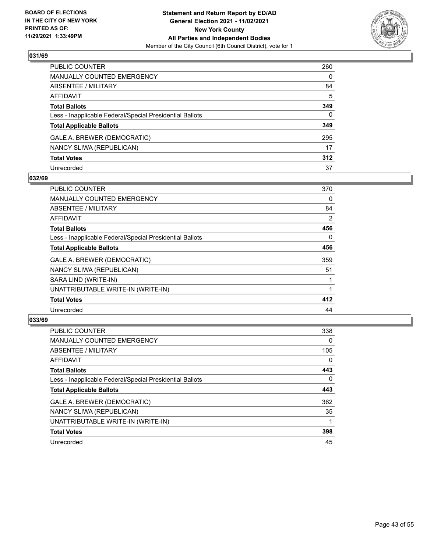

| PUBLIC COUNTER                                           | 260 |
|----------------------------------------------------------|-----|
| <b>MANUALLY COUNTED EMERGENCY</b>                        | 0   |
| ABSENTEE / MILITARY                                      | 84  |
| AFFIDAVIT                                                | 5   |
| <b>Total Ballots</b>                                     | 349 |
| Less - Inapplicable Federal/Special Presidential Ballots | 0   |
| <b>Total Applicable Ballots</b>                          | 349 |
| GALE A. BREWER (DEMOCRATIC)                              | 295 |
| NANCY SLIWA (REPUBLICAN)                                 | 17  |
| <b>Total Votes</b>                                       | 312 |
| Unrecorded                                               | 37  |

#### **032/69**

| <b>PUBLIC COUNTER</b>                                    | 370 |
|----------------------------------------------------------|-----|
| <b>MANUALLY COUNTED EMERGENCY</b>                        | 0   |
| <b>ABSENTEE / MILITARY</b>                               | 84  |
| AFFIDAVIT                                                | 2   |
| <b>Total Ballots</b>                                     | 456 |
| Less - Inapplicable Federal/Special Presidential Ballots | 0   |
| <b>Total Applicable Ballots</b>                          | 456 |
| GALE A. BREWER (DEMOCRATIC)                              | 359 |
| NANCY SLIWA (REPUBLICAN)                                 | 51  |
| SARA LIND (WRITE-IN)                                     |     |
| UNATTRIBUTABLE WRITE-IN (WRITE-IN)                       |     |
| <b>Total Votes</b>                                       | 412 |
| Unrecorded                                               | 44  |

| <b>PUBLIC COUNTER</b>                                    | 338      |
|----------------------------------------------------------|----------|
| <b>MANUALLY COUNTED EMERGENCY</b>                        | $\Omega$ |
| ABSENTEE / MILITARY                                      | 105      |
| <b>AFFIDAVIT</b>                                         | $\Omega$ |
| <b>Total Ballots</b>                                     | 443      |
| Less - Inapplicable Federal/Special Presidential Ballots | $\Omega$ |
| <b>Total Applicable Ballots</b>                          | 443      |
| GALE A. BREWER (DEMOCRATIC)                              | 362      |
| NANCY SLIWA (REPUBLICAN)                                 | 35       |
| UNATTRIBUTABLE WRITE-IN (WRITE-IN)                       |          |
| <b>Total Votes</b>                                       | 398      |
| Unrecorded                                               | 45       |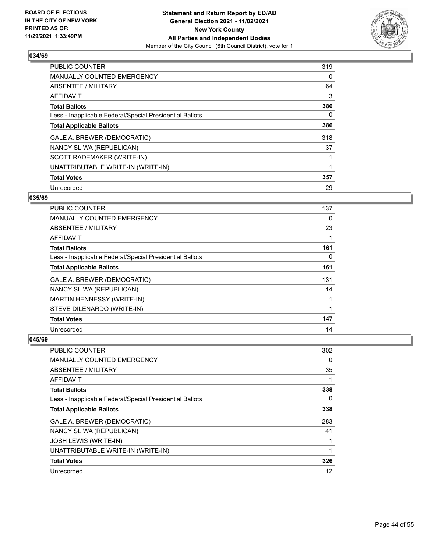

| PUBLIC COUNTER                                           | 319 |
|----------------------------------------------------------|-----|
| <b>MANUALLY COUNTED EMERGENCY</b>                        | 0   |
| ABSENTEE / MILITARY                                      | 64  |
| <b>AFFIDAVIT</b>                                         | 3   |
| <b>Total Ballots</b>                                     | 386 |
| Less - Inapplicable Federal/Special Presidential Ballots | 0   |
| <b>Total Applicable Ballots</b>                          | 386 |
| GALE A. BREWER (DEMOCRATIC)                              | 318 |
| NANCY SLIWA (REPUBLICAN)                                 | 37  |
| SCOTT RADEMAKER (WRITE-IN)                               |     |
| UNATTRIBUTABLE WRITE-IN (WRITE-IN)                       |     |
| <b>Total Votes</b>                                       | 357 |
| Unrecorded                                               | 29  |

# **035/69**

| <b>PUBLIC COUNTER</b>                                    | 137 |
|----------------------------------------------------------|-----|
| MANUALLY COUNTED EMERGENCY                               | 0   |
| ABSENTEE / MILITARY                                      | 23  |
| AFFIDAVIT                                                |     |
| <b>Total Ballots</b>                                     | 161 |
| Less - Inapplicable Federal/Special Presidential Ballots | 0   |
| <b>Total Applicable Ballots</b>                          | 161 |
| GALE A. BREWER (DEMOCRATIC)                              | 131 |
| NANCY SLIWA (REPUBLICAN)                                 | 14  |
| MARTIN HENNESSY (WRITE-IN)                               |     |
| STEVE DILENARDO (WRITE-IN)                               |     |
| <b>Total Votes</b>                                       | 147 |
| Unrecorded                                               | 14  |

| PUBLIC COUNTER                                           | 302 |
|----------------------------------------------------------|-----|
| MANUALLY COUNTED EMERGENCY                               | 0   |
| ABSENTEE / MILITARY                                      | 35  |
| AFFIDAVIT                                                |     |
| <b>Total Ballots</b>                                     | 338 |
| Less - Inapplicable Federal/Special Presidential Ballots | 0   |
| <b>Total Applicable Ballots</b>                          | 338 |
| GALE A. BREWER (DEMOCRATIC)                              | 283 |
| NANCY SLIWA (REPUBLICAN)                                 | 41  |
| <b>JOSH LEWIS (WRITE-IN)</b>                             |     |
| UNATTRIBUTABLE WRITE-IN (WRITE-IN)                       | 1   |
| <b>Total Votes</b>                                       | 326 |
| Unrecorded                                               | 12  |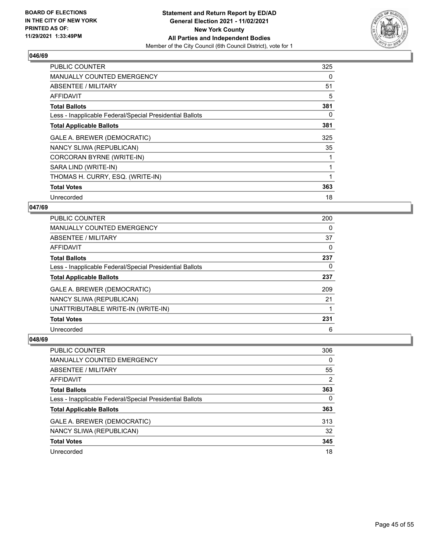

| <b>PUBLIC COUNTER</b>                                    | 325 |
|----------------------------------------------------------|-----|
| <b>MANUALLY COUNTED EMERGENCY</b>                        | 0   |
| <b>ABSENTEE / MILITARY</b>                               | 51  |
| AFFIDAVIT                                                | 5   |
| <b>Total Ballots</b>                                     | 381 |
| Less - Inapplicable Federal/Special Presidential Ballots | 0   |
| <b>Total Applicable Ballots</b>                          | 381 |
| GALE A. BREWER (DEMOCRATIC)                              | 325 |
| NANCY SLIWA (REPUBLICAN)                                 | 35  |
| CORCORAN BYRNE (WRITE-IN)                                |     |
| SARA LIND (WRITE-IN)                                     |     |
| THOMAS H. CURRY, ESQ. (WRITE-IN)                         |     |
| <b>Total Votes</b>                                       | 363 |
| Unrecorded                                               | 18  |

# **047/69**

| PUBLIC COUNTER                                           | 200 |
|----------------------------------------------------------|-----|
| MANUALLY COUNTED EMERGENCY                               | 0   |
| ABSENTEE / MILITARY                                      | 37  |
| AFFIDAVIT                                                | 0   |
| <b>Total Ballots</b>                                     | 237 |
| Less - Inapplicable Federal/Special Presidential Ballots | 0   |
| <b>Total Applicable Ballots</b>                          | 237 |
| GALE A. BREWER (DEMOCRATIC)                              | 209 |
| NANCY SLIWA (REPUBLICAN)                                 | 21  |
| UNATTRIBUTABLE WRITE-IN (WRITE-IN)                       |     |
| <b>Total Votes</b>                                       | 231 |
| Unrecorded                                               | 6   |

| PUBLIC COUNTER                                           | 306 |
|----------------------------------------------------------|-----|
| MANUALLY COUNTED EMERGENCY                               | 0   |
| ABSENTEE / MILITARY                                      | 55  |
| AFFIDAVIT                                                | 2   |
| <b>Total Ballots</b>                                     | 363 |
| Less - Inapplicable Federal/Special Presidential Ballots | 0   |
| <b>Total Applicable Ballots</b>                          | 363 |
| GALE A. BREWER (DEMOCRATIC)                              | 313 |
| NANCY SLIWA (REPUBLICAN)                                 | 32  |
| <b>Total Votes</b>                                       | 345 |
| Unrecorded                                               | 18  |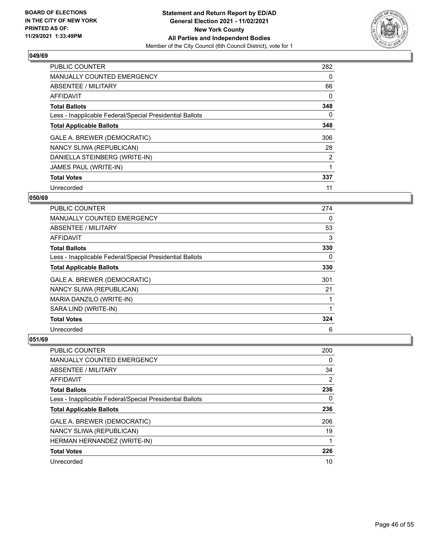

| <b>PUBLIC COUNTER</b>                                    | 282            |
|----------------------------------------------------------|----------------|
| <b>MANUALLY COUNTED EMERGENCY</b>                        | 0              |
| ABSENTEE / MILITARY                                      | 66             |
| <b>AFFIDAVIT</b>                                         | 0              |
| <b>Total Ballots</b>                                     | 348            |
| Less - Inapplicable Federal/Special Presidential Ballots | 0              |
| <b>Total Applicable Ballots</b>                          | 348            |
| GALE A. BREWER (DEMOCRATIC)                              | 306            |
| NANCY SLIWA (REPUBLICAN)                                 | 28             |
| DANIELLA STEINBERG (WRITE-IN)                            | $\overline{2}$ |
| JAMES PAUL (WRITE-IN)                                    |                |
| <b>Total Votes</b>                                       | 337            |
| Unrecorded                                               | 11             |

# **050/69**

| <b>PUBLIC COUNTER</b>                                    | 274 |
|----------------------------------------------------------|-----|
| <b>MANUALLY COUNTED EMERGENCY</b>                        | 0   |
| ABSENTEE / MILITARY                                      | 53  |
| <b>AFFIDAVIT</b>                                         | 3   |
| <b>Total Ballots</b>                                     | 330 |
| Less - Inapplicable Federal/Special Presidential Ballots | 0   |
| <b>Total Applicable Ballots</b>                          | 330 |
| GALE A. BREWER (DEMOCRATIC)                              | 301 |
| NANCY SLIWA (REPUBLICAN)                                 | 21  |
| MARIA DANZILO (WRITE-IN)                                 |     |
| SARA LIND (WRITE-IN)                                     |     |
| <b>Total Votes</b>                                       | 324 |
| Unrecorded                                               | 6   |

| PUBLIC COUNTER                                           | 200 |
|----------------------------------------------------------|-----|
| <b>MANUALLY COUNTED EMERGENCY</b>                        | 0   |
| ABSENTEE / MILITARY                                      | 34  |
| AFFIDAVIT                                                | 2   |
| <b>Total Ballots</b>                                     | 236 |
| Less - Inapplicable Federal/Special Presidential Ballots | 0   |
| <b>Total Applicable Ballots</b>                          | 236 |
| GALE A. BREWER (DEMOCRATIC)                              | 206 |
| NANCY SLIWA (REPUBLICAN)                                 | 19  |
| HERMAN HERNANDEZ (WRITE-IN)                              |     |
| <b>Total Votes</b>                                       | 226 |
| Unrecorded                                               | 10  |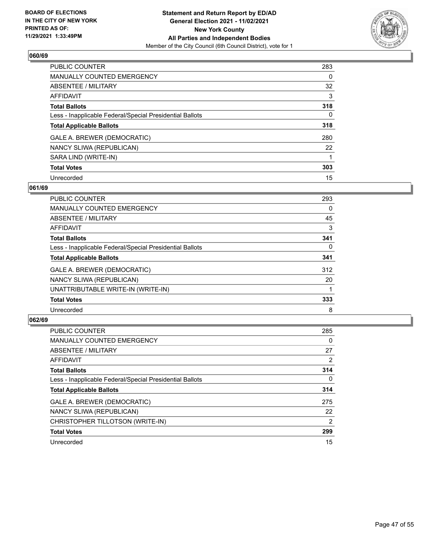

| <b>PUBLIC COUNTER</b>                                    | 283      |
|----------------------------------------------------------|----------|
| MANUALLY COUNTED EMERGENCY                               | $\Omega$ |
| ABSENTEE / MILITARY                                      | 32       |
| AFFIDAVIT                                                | 3        |
| <b>Total Ballots</b>                                     | 318      |
| Less - Inapplicable Federal/Special Presidential Ballots | 0        |
| <b>Total Applicable Ballots</b>                          | 318      |
| GALE A. BREWER (DEMOCRATIC)                              | 280      |
| NANCY SLIWA (REPUBLICAN)                                 | 22       |
| SARA LIND (WRITE-IN)                                     |          |
| <b>Total Votes</b>                                       | 303      |
| Unrecorded                                               | 15       |

#### **061/69**

| <b>PUBLIC COUNTER</b>                                    | 293      |
|----------------------------------------------------------|----------|
| <b>MANUALLY COUNTED EMERGENCY</b>                        | 0        |
| ABSENTEE / MILITARY                                      | 45       |
| <b>AFFIDAVIT</b>                                         | 3        |
| <b>Total Ballots</b>                                     | 341      |
| Less - Inapplicable Federal/Special Presidential Ballots | $\Omega$ |
| <b>Total Applicable Ballots</b>                          | 341      |
| GALE A. BREWER (DEMOCRATIC)                              | 312      |
| NANCY SLIWA (REPUBLICAN)                                 | 20       |
| UNATTRIBUTABLE WRITE-IN (WRITE-IN)                       |          |
| <b>Total Votes</b>                                       | 333      |
| Unrecorded                                               | 8        |

| <b>PUBLIC COUNTER</b>                                    | 285      |
|----------------------------------------------------------|----------|
| <b>MANUALLY COUNTED EMERGENCY</b>                        | 0        |
| ABSENTEE / MILITARY                                      | 27       |
| <b>AFFIDAVIT</b>                                         | 2        |
| <b>Total Ballots</b>                                     | 314      |
| Less - Inapplicable Federal/Special Presidential Ballots | $\Omega$ |
| <b>Total Applicable Ballots</b>                          | 314      |
| GALE A. BREWER (DEMOCRATIC)                              | 275      |
| NANCY SLIWA (REPUBLICAN)                                 | 22       |
| CHRISTOPHER TILLOTSON (WRITE-IN)                         | 2        |
| <b>Total Votes</b>                                       | 299      |
| Unrecorded                                               | 15       |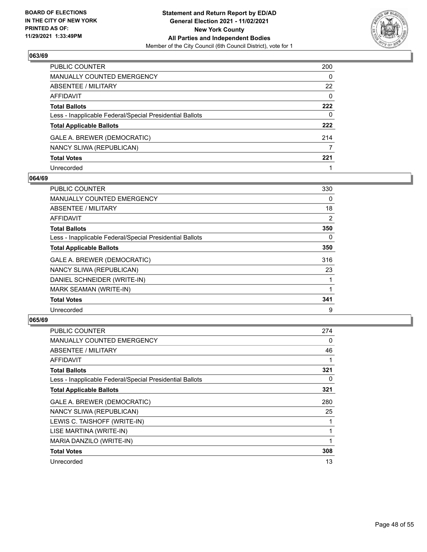

| PUBLIC COUNTER                                           | 200      |
|----------------------------------------------------------|----------|
| <b>MANUALLY COUNTED EMERGENCY</b>                        | 0        |
| <b>ABSENTEE / MILITARY</b>                               | 22       |
| AFFIDAVIT                                                | $\Omega$ |
| <b>Total Ballots</b>                                     | 222      |
| Less - Inapplicable Federal/Special Presidential Ballots | 0        |
| <b>Total Applicable Ballots</b>                          | 222      |
| GALE A. BREWER (DEMOCRATIC)                              | 214      |
| NANCY SLIWA (REPUBLICAN)                                 | 7        |
| <b>Total Votes</b>                                       | 221      |
| Unrecorded                                               |          |

#### **064/69**

| PUBLIC COUNTER                                           | 330      |
|----------------------------------------------------------|----------|
| <b>MANUALLY COUNTED EMERGENCY</b>                        | $\Omega$ |
| <b>ABSENTEE / MILITARY</b>                               | 18       |
| <b>AFFIDAVIT</b>                                         | 2        |
| <b>Total Ballots</b>                                     | 350      |
| Less - Inapplicable Federal/Special Presidential Ballots | 0        |
| <b>Total Applicable Ballots</b>                          | 350      |
| GALE A. BREWER (DEMOCRATIC)                              | 316      |
| NANCY SLIWA (REPUBLICAN)                                 | 23       |
| DANIEL SCHNEIDER (WRITE-IN)                              |          |
| MARK SEAMAN (WRITE-IN)                                   |          |
| <b>Total Votes</b>                                       | 341      |
| Unrecorded                                               | 9        |

| <b>PUBLIC COUNTER</b>                                    | 274 |
|----------------------------------------------------------|-----|
| <b>MANUALLY COUNTED EMERGENCY</b>                        | 0   |
| ABSENTEE / MILITARY                                      | 46  |
| AFFIDAVIT                                                | 1   |
| <b>Total Ballots</b>                                     | 321 |
| Less - Inapplicable Federal/Special Presidential Ballots | 0   |
| <b>Total Applicable Ballots</b>                          | 321 |
| GALE A. BREWER (DEMOCRATIC)                              | 280 |
| NANCY SLIWA (REPUBLICAN)                                 | 25  |
| LEWIS C. TAISHOFF (WRITE-IN)                             | 1   |
| LISE MARTINA (WRITE-IN)                                  |     |
| MARIA DANZILO (WRITE-IN)                                 | 1   |
| <b>Total Votes</b>                                       | 308 |
| Unrecorded                                               | 13  |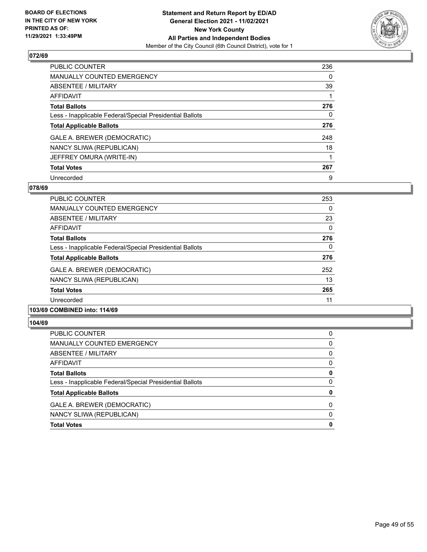

| PUBLIC COUNTER                                           | 236 |
|----------------------------------------------------------|-----|
| <b>MANUALLY COUNTED EMERGENCY</b>                        | 0   |
| ABSENTEE / MILITARY                                      | 39  |
| <b>AFFIDAVIT</b>                                         |     |
| <b>Total Ballots</b>                                     | 276 |
| Less - Inapplicable Federal/Special Presidential Ballots | 0   |
| <b>Total Applicable Ballots</b>                          | 276 |
| GALE A. BREWER (DEMOCRATIC)                              | 248 |
| NANCY SLIWA (REPUBLICAN)                                 | 18  |
| JEFFREY OMURA (WRITE-IN)                                 |     |
| <b>Total Votes</b>                                       | 267 |
| Unrecorded                                               | 9   |

#### **078/69**

| PUBLIC COUNTER                                           | 253 |
|----------------------------------------------------------|-----|
| <b>MANUALLY COUNTED EMERGENCY</b>                        | 0   |
| ABSENTEE / MILITARY                                      | 23  |
| <b>AFFIDAVIT</b>                                         | 0   |
| <b>Total Ballots</b>                                     | 276 |
| Less - Inapplicable Federal/Special Presidential Ballots | 0   |
| <b>Total Applicable Ballots</b>                          | 276 |
| GALE A. BREWER (DEMOCRATIC)                              | 252 |
| NANCY SLIWA (REPUBLICAN)                                 | 13  |
| <b>Total Votes</b>                                       | 265 |
| Unrecorded                                               | 11  |

# **103/69 COMBINED into: 114/69**

| PUBLIC COUNTER                                           | 0        |
|----------------------------------------------------------|----------|
| MANUALLY COUNTED EMERGENCY                               | 0        |
| ABSENTEE / MILITARY                                      | 0        |
| AFFIDAVIT                                                | $\Omega$ |
| <b>Total Ballots</b>                                     | 0        |
| Less - Inapplicable Federal/Special Presidential Ballots | 0        |
| <b>Total Applicable Ballots</b>                          | 0        |
| GALE A. BREWER (DEMOCRATIC)                              | $\Omega$ |
| NANCY SLIWA (REPUBLICAN)                                 | $\Omega$ |
| <b>Total Votes</b>                                       | 0        |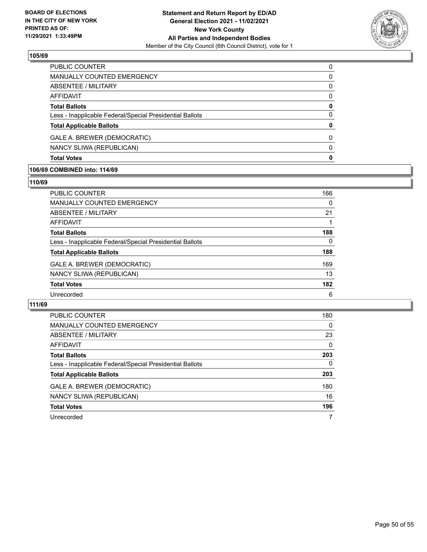

| <b>Total Votes</b>                                       | 0        |
|----------------------------------------------------------|----------|
| NANCY SLIWA (REPUBLICAN)                                 | $\Omega$ |
| GALE A. BREWER (DEMOCRATIC)                              | 0        |
| <b>Total Applicable Ballots</b>                          | 0        |
| Less - Inapplicable Federal/Special Presidential Ballots | $\Omega$ |
| <b>Total Ballots</b>                                     | 0        |
| AFFIDAVIT                                                | 0        |
| ABSENTEE / MILITARY                                      | $\Omega$ |
| <b>MANUALLY COUNTED EMERGENCY</b>                        | 0        |
| PUBLIC COUNTER                                           | 0        |

#### **106/69 COMBINED into: 114/69**

#### **110/69**

| PUBLIC COUNTER                                           | 166 |
|----------------------------------------------------------|-----|
| <b>MANUALLY COUNTED EMERGENCY</b>                        | 0   |
| ABSENTEE / MILITARY                                      | 21  |
| <b>AFFIDAVIT</b>                                         |     |
| <b>Total Ballots</b>                                     | 188 |
| Less - Inapplicable Federal/Special Presidential Ballots | 0   |
| <b>Total Applicable Ballots</b>                          | 188 |
| GALE A. BREWER (DEMOCRATIC)                              | 169 |
| NANCY SLIWA (REPUBLICAN)                                 | 13  |
| <b>Total Votes</b>                                       | 182 |
| Unrecorded                                               | 6   |

| PUBLIC COUNTER                                           | 180      |
|----------------------------------------------------------|----------|
| <b>MANUALLY COUNTED EMERGENCY</b>                        | $\Omega$ |
| ABSENTEE / MILITARY                                      | 23       |
| <b>AFFIDAVIT</b>                                         | $\Omega$ |
| <b>Total Ballots</b>                                     | 203      |
| Less - Inapplicable Federal/Special Presidential Ballots | 0        |
| <b>Total Applicable Ballots</b>                          | 203      |
| GALE A. BREWER (DEMOCRATIC)                              | 180      |
| NANCY SLIWA (REPUBLICAN)                                 | 16       |
| <b>Total Votes</b>                                       | 196      |
| Unrecorded                                               | 7        |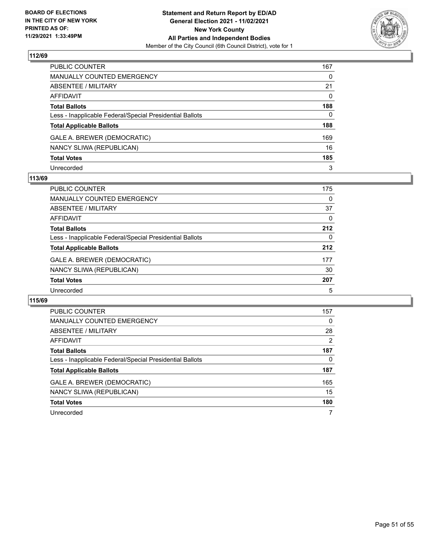

| PUBLIC COUNTER                                           | 167      |
|----------------------------------------------------------|----------|
| <b>MANUALLY COUNTED EMERGENCY</b>                        | $\Omega$ |
| <b>ABSENTEE / MILITARY</b>                               | 21       |
| <b>AFFIDAVIT</b>                                         | $\Omega$ |
| <b>Total Ballots</b>                                     | 188      |
| Less - Inapplicable Federal/Special Presidential Ballots | 0        |
| <b>Total Applicable Ballots</b>                          | 188      |
| GALE A. BREWER (DEMOCRATIC)                              | 169      |
| NANCY SLIWA (REPUBLICAN)                                 | 16       |
| <b>Total Votes</b>                                       | 185      |
| Unrecorded                                               | 3        |

#### **113/69**

| PUBLIC COUNTER                                           | 175 |
|----------------------------------------------------------|-----|
| MANUALLY COUNTED EMERGENCY                               | 0   |
| ABSENTEE / MILITARY                                      | 37  |
| AFFIDAVIT                                                | 0   |
| <b>Total Ballots</b>                                     | 212 |
| Less - Inapplicable Federal/Special Presidential Ballots | 0   |
| <b>Total Applicable Ballots</b>                          | 212 |
| GALE A. BREWER (DEMOCRATIC)                              | 177 |
| NANCY SLIWA (REPUBLICAN)                                 | 30  |
| <b>Total Votes</b>                                       | 207 |
| Unrecorded                                               | 5   |

| PUBLIC COUNTER                                           | 157            |
|----------------------------------------------------------|----------------|
| <b>MANUALLY COUNTED EMERGENCY</b>                        | 0              |
| ABSENTEE / MILITARY                                      | 28             |
| AFFIDAVIT                                                | $\overline{2}$ |
| <b>Total Ballots</b>                                     | 187            |
| Less - Inapplicable Federal/Special Presidential Ballots | 0              |
| <b>Total Applicable Ballots</b>                          | 187            |
| GALE A. BREWER (DEMOCRATIC)                              | 165            |
| NANCY SLIWA (REPUBLICAN)                                 | 15             |
| <b>Total Votes</b>                                       | 180            |
| Unrecorded                                               |                |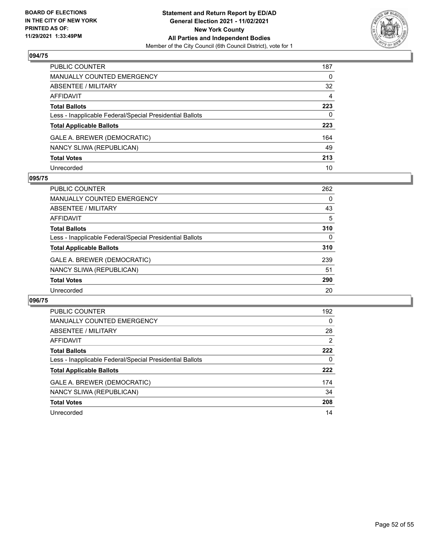

| PUBLIC COUNTER                                           | 187          |
|----------------------------------------------------------|--------------|
| <b>MANUALLY COUNTED EMERGENCY</b>                        | 0            |
| ABSENTEE / MILITARY                                      | 32           |
| AFFIDAVIT                                                | 4            |
| <b>Total Ballots</b>                                     | 223          |
| Less - Inapplicable Federal/Special Presidential Ballots | $\mathbf{0}$ |
| <b>Total Applicable Ballots</b>                          | 223          |
| GALE A. BREWER (DEMOCRATIC)                              | 164          |
| NANCY SLIWA (REPUBLICAN)                                 | 49           |
| <b>Total Votes</b>                                       | 213          |
| Unrecorded                                               | 10           |

#### **095/75**

| PUBLIC COUNTER                                           | 262      |
|----------------------------------------------------------|----------|
| MANUALLY COUNTED EMERGENCY                               | $\Omega$ |
| ABSENTEE / MILITARY                                      | 43       |
| AFFIDAVIT                                                | 5        |
| <b>Total Ballots</b>                                     | 310      |
| Less - Inapplicable Federal/Special Presidential Ballots | $\Omega$ |
| <b>Total Applicable Ballots</b>                          | 310      |
| GALE A. BREWER (DEMOCRATIC)                              | 239      |
| NANCY SLIWA (REPUBLICAN)                                 | 51       |
| <b>Total Votes</b>                                       | 290      |
| Unrecorded                                               | 20       |

| PUBLIC COUNTER                                           | 192      |
|----------------------------------------------------------|----------|
| <b>MANUALLY COUNTED EMERGENCY</b>                        | $\Omega$ |
| ABSENTEE / MILITARY                                      | 28       |
| <b>AFFIDAVIT</b>                                         | 2        |
| <b>Total Ballots</b>                                     | 222      |
| Less - Inapplicable Federal/Special Presidential Ballots | 0        |
| <b>Total Applicable Ballots</b>                          | 222      |
| GALE A. BREWER (DEMOCRATIC)                              | 174      |
| NANCY SLIWA (REPUBLICAN)                                 | 34       |
| <b>Total Votes</b>                                       | 208      |
| Unrecorded                                               | 14       |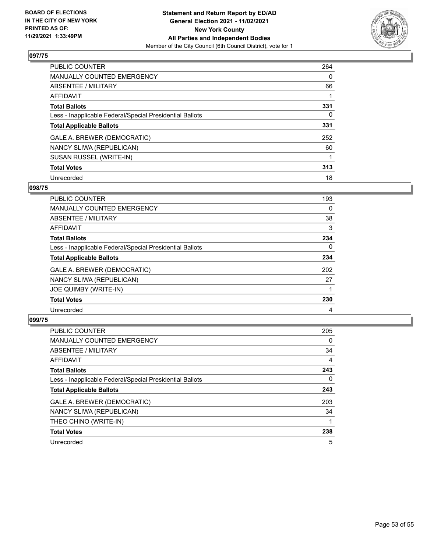

| <b>PUBLIC COUNTER</b>                                    | 264      |
|----------------------------------------------------------|----------|
| MANUALLY COUNTED EMERGENCY                               | $\Omega$ |
| ABSENTEE / MILITARY                                      | 66       |
| AFFIDAVIT                                                |          |
| <b>Total Ballots</b>                                     | 331      |
| Less - Inapplicable Federal/Special Presidential Ballots | 0        |
| <b>Total Applicable Ballots</b>                          | 331      |
| GALE A. BREWER (DEMOCRATIC)                              | 252      |
| NANCY SLIWA (REPUBLICAN)                                 | 60       |
| SUSAN RUSSEL (WRITE-IN)                                  |          |
| <b>Total Votes</b>                                       | 313      |
| Unrecorded                                               | 18       |

#### **098/75**

| <b>PUBLIC COUNTER</b>                                    | 193      |
|----------------------------------------------------------|----------|
| <b>MANUALLY COUNTED EMERGENCY</b>                        | 0        |
| ABSENTEE / MILITARY                                      | 38       |
| <b>AFFIDAVIT</b>                                         | 3        |
| <b>Total Ballots</b>                                     | 234      |
| Less - Inapplicable Federal/Special Presidential Ballots | $\Omega$ |
| <b>Total Applicable Ballots</b>                          | 234      |
| GALE A. BREWER (DEMOCRATIC)                              | 202      |
| NANCY SLIWA (REPUBLICAN)                                 | 27       |
| <b>JOE QUIMBY (WRITE-IN)</b>                             |          |
| <b>Total Votes</b>                                       | 230      |
| Unrecorded                                               | 4        |

| <b>PUBLIC COUNTER</b>                                    | 205 |
|----------------------------------------------------------|-----|
| <b>MANUALLY COUNTED EMERGENCY</b>                        | 0   |
| ABSENTEE / MILITARY                                      | 34  |
| AFFIDAVIT                                                | 4   |
| <b>Total Ballots</b>                                     | 243 |
| Less - Inapplicable Federal/Special Presidential Ballots | 0   |
| <b>Total Applicable Ballots</b>                          | 243 |
| GALE A. BREWER (DEMOCRATIC)                              | 203 |
| NANCY SLIWA (REPUBLICAN)                                 | 34  |
| THEO CHINO (WRITE-IN)                                    |     |
| <b>Total Votes</b>                                       | 238 |
| Unrecorded                                               | 5   |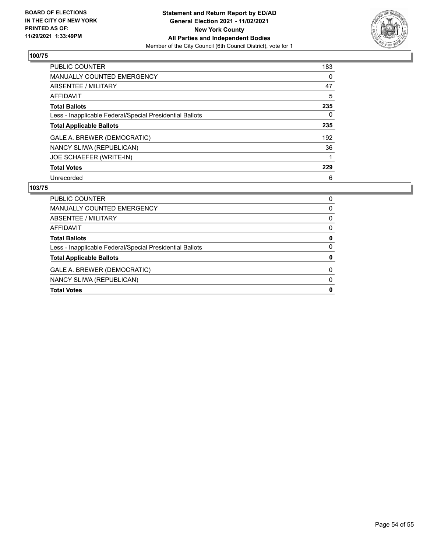

| PUBLIC COUNTER                                           | 183 |
|----------------------------------------------------------|-----|
| <b>MANUALLY COUNTED EMERGENCY</b>                        | 0   |
| ABSENTEE / MILITARY                                      | 47  |
| <b>AFFIDAVIT</b>                                         | 5   |
| <b>Total Ballots</b>                                     | 235 |
| Less - Inapplicable Federal/Special Presidential Ballots | 0   |
| <b>Total Applicable Ballots</b>                          | 235 |
| GALE A. BREWER (DEMOCRATIC)                              | 192 |
| NANCY SLIWA (REPUBLICAN)                                 | 36  |
| JOE SCHAEFER (WRITE-IN)                                  |     |
| <b>Total Votes</b>                                       | 229 |
| Unrecorded                                               | 6   |

| <b>PUBLIC COUNTER</b>                                    | 0 |
|----------------------------------------------------------|---|
| <b>MANUALLY COUNTED EMERGENCY</b>                        | 0 |
| ABSENTEE / MILITARY                                      | 0 |
| AFFIDAVIT                                                | 0 |
| <b>Total Ballots</b>                                     | 0 |
| Less - Inapplicable Federal/Special Presidential Ballots | 0 |
| <b>Total Applicable Ballots</b>                          | 0 |
| GALE A. BREWER (DEMOCRATIC)                              | 0 |
| NANCY SLIWA (REPUBLICAN)                                 | 0 |
| <b>Total Votes</b>                                       | 0 |